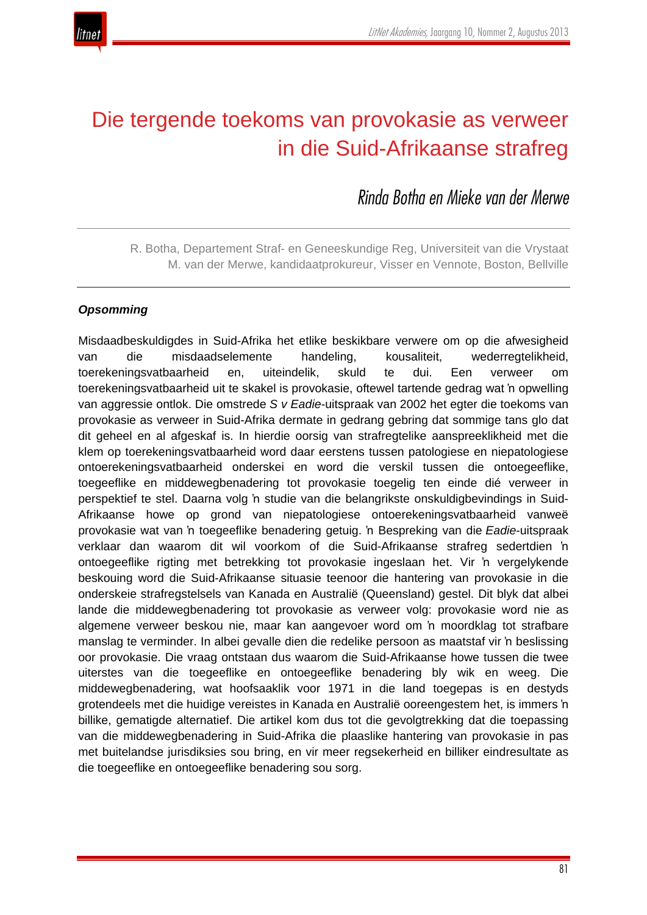

# Die tergende toekoms van provokasie as verweer in die Suid-Afrikaanse strafreg

*Rinda Botha en Mieke van der Merwe*

R. Botha, Departement Straf- en Geneeskundige Reg, Universiteit van die Vrystaat M. van der Merwe, kandidaatprokureur, Visser en Vennote, Boston, Bellville

# *Opsomming*

Misdaadbeskuldigdes in Suid-Afrika het etlike beskikbare verwere om op die afwesigheid van die misdaadselemente handeling, kousaliteit, wederregtelikheid, toerekeningsvatbaarheid en, uiteindelik, skuld te dui. Een verweer om toerekeningsvatbaarheid uit te skakel is provokasie, oftewel tartende gedrag wat 'n opwelling van aggressie ontlok. Die omstrede *S v Eadie*-uitspraak van 2002 het egter die toekoms van provokasie as verweer in Suid-Afrika dermate in gedrang gebring dat sommige tans glo dat dit geheel en al afgeskaf is. In hierdie oorsig van strafregtelike aanspreeklikheid met die klem op toerekeningsvatbaarheid word daar eerstens tussen patologiese en niepatologiese ontoerekeningsvatbaarheid onderskei en word die verskil tussen die ontoegeeflike, toegeeflike en middewegbenadering tot provokasie toegelig ten einde dié verweer in perspektief te stel. Daarna volg 'n studie van die belangrikste onskuldigbevindings in Suid-Afrikaanse howe op grond van niepatologiese ontoerekeningsvatbaarheid vanweë provokasie wat van 'n toegeeflike benadering getuig. 'n Bespreking van die *Eadie*-uitspraak verklaar dan waarom dit wil voorkom of die Suid-Afrikaanse strafreg sedertdien 'n ontoegeeflike rigting met betrekking tot provokasie ingeslaan het. Vir 'n vergelykende beskouing word die Suid-Afrikaanse situasie teenoor die hantering van provokasie in die onderskeie strafregstelsels van Kanada en Australië (Queensland) gestel. Dit blyk dat albei lande die middewegbenadering tot provokasie as verweer volg: provokasie word nie as algemene verweer beskou nie, maar kan aangevoer word om 'n moordklag tot strafbare manslag te verminder. In albei gevalle dien die redelike persoon as maatstaf vir 'n beslissing oor provokasie. Die vraag ontstaan dus waarom die Suid-Afrikaanse howe tussen die twee uiterstes van die toegeeflike en ontoegeeflike benadering bly wik en weeg. Die middewegbenadering, wat hoofsaaklik voor 1971 in die land toegepas is en destyds grotendeels met die huidige vereistes in Kanada en Australië ooreengestem het, is immers 'n billike, gematigde alternatief. Die artikel kom dus tot die gevolgtrekking dat die toepassing van die middewegbenadering in Suid-Afrika die plaaslike hantering van provokasie in pas met buitelandse jurisdiksies sou bring, en vir meer regsekerheid en billiker eindresultate as die toegeeflike en ontoegeeflike benadering sou sorg.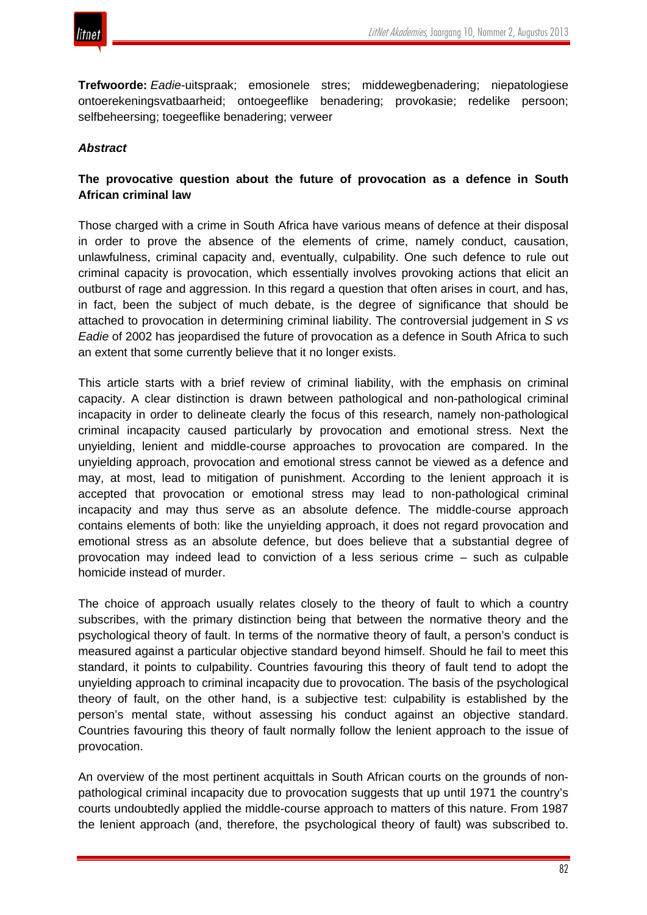

**Trefwoorde:** *Eadie*-uitspraak; emosionele stres; middewegbenadering; niepatologiese ontoerekeningsvatbaarheid; ontoegeeflike benadering; provokasie; redelike persoon; selfbeheersing; toegeeflike benadering; verweer

#### *Abstract*

# **The provocative question about the future of provocation as a defence in South African criminal law**

Those charged with a crime in South Africa have various means of defence at their disposal in order to prove the absence of the elements of crime, namely conduct, causation, unlawfulness, criminal capacity and, eventually, culpability. One such defence to rule out criminal capacity is provocation, which essentially involves provoking actions that elicit an outburst of rage and aggression. In this regard a question that often arises in court, and has, in fact, been the subject of much debate, is the degree of significance that should be attached to provocation in determining criminal liability. The controversial judgement in *S vs Eadie* of 2002 has jeopardised the future of provocation as a defence in South Africa to such an extent that some currently believe that it no longer exists.

This article starts with a brief review of criminal liability, with the emphasis on criminal capacity. A clear distinction is drawn between pathological and non-pathological criminal incapacity in order to delineate clearly the focus of this research, namely non-pathological criminal incapacity caused particularly by provocation and emotional stress. Next the unyielding, lenient and middle-course approaches to provocation are compared. In the unyielding approach, provocation and emotional stress cannot be viewed as a defence and may, at most, lead to mitigation of punishment. According to the lenient approach it is accepted that provocation or emotional stress may lead to non-pathological criminal incapacity and may thus serve as an absolute defence. The middle-course approach contains elements of both: like the unyielding approach, it does not regard provocation and emotional stress as an absolute defence, but does believe that a substantial degree of provocation may indeed lead to conviction of a less serious crime – such as culpable homicide instead of murder.

The choice of approach usually relates closely to the theory of fault to which a country subscribes, with the primary distinction being that between the normative theory and the psychological theory of fault. In terms of the normative theory of fault, a person's conduct is measured against a particular objective standard beyond himself. Should he fail to meet this standard, it points to culpability. Countries favouring this theory of fault tend to adopt the unyielding approach to criminal incapacity due to provocation. The basis of the psychological theory of fault, on the other hand, is a subjective test: culpability is established by the person's mental state, without assessing his conduct against an objective standard. Countries favouring this theory of fault normally follow the lenient approach to the issue of provocation.

An overview of the most pertinent acquittals in South African courts on the grounds of nonpathological criminal incapacity due to provocation suggests that up until 1971 the country's courts undoubtedly applied the middle-course approach to matters of this nature. From 1987 the lenient approach (and, therefore, the psychological theory of fault) was subscribed to.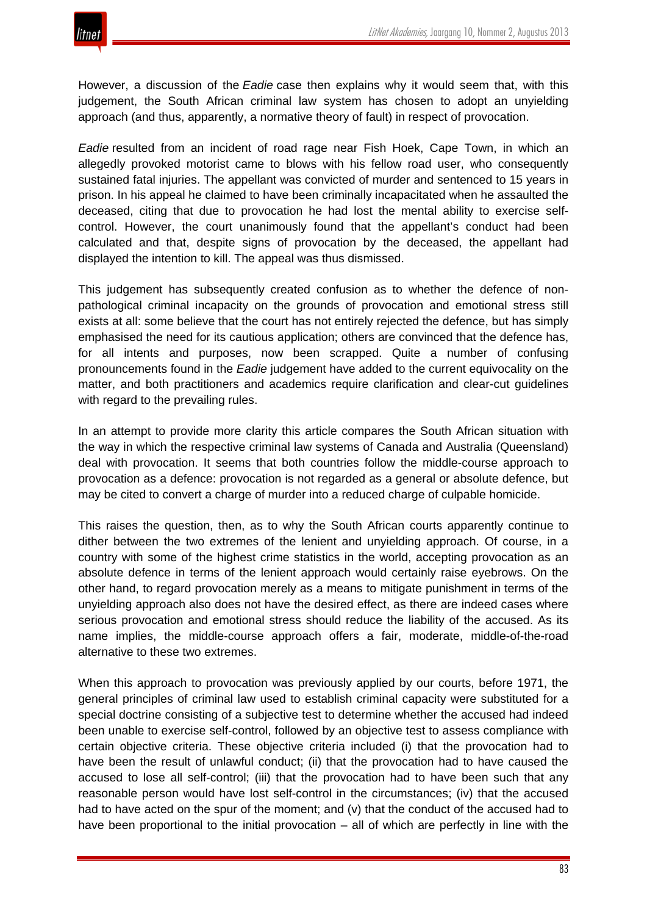

However, a discussion of the *Eadie* case then explains why it would seem that, with this judgement, the South African criminal law system has chosen to adopt an unyielding approach (and thus, apparently, a normative theory of fault) in respect of provocation.

*Eadie* resulted from an incident of road rage near Fish Hoek, Cape Town, in which an allegedly provoked motorist came to blows with his fellow road user, who consequently sustained fatal injuries. The appellant was convicted of murder and sentenced to 15 years in prison. In his appeal he claimed to have been criminally incapacitated when he assaulted the deceased, citing that due to provocation he had lost the mental ability to exercise selfcontrol. However, the court unanimously found that the appellant's conduct had been calculated and that, despite signs of provocation by the deceased, the appellant had displayed the intention to kill. The appeal was thus dismissed.

This judgement has subsequently created confusion as to whether the defence of nonpathological criminal incapacity on the grounds of provocation and emotional stress still exists at all: some believe that the court has not entirely rejected the defence, but has simply emphasised the need for its cautious application; others are convinced that the defence has, for all intents and purposes, now been scrapped. Quite a number of confusing pronouncements found in the *Eadie* judgement have added to the current equivocality on the matter, and both practitioners and academics require clarification and clear-cut guidelines with regard to the prevailing rules.

In an attempt to provide more clarity this article compares the South African situation with the way in which the respective criminal law systems of Canada and Australia (Queensland) deal with provocation. It seems that both countries follow the middle-course approach to provocation as a defence: provocation is not regarded as a general or absolute defence, but may be cited to convert a charge of murder into a reduced charge of culpable homicide.

This raises the question, then, as to why the South African courts apparently continue to dither between the two extremes of the lenient and unyielding approach. Of course, in a country with some of the highest crime statistics in the world, accepting provocation as an absolute defence in terms of the lenient approach would certainly raise eyebrows. On the other hand, to regard provocation merely as a means to mitigate punishment in terms of the unyielding approach also does not have the desired effect, as there are indeed cases where serious provocation and emotional stress should reduce the liability of the accused. As its name implies, the middle-course approach offers a fair, moderate, middle-of-the-road alternative to these two extremes.

When this approach to provocation was previously applied by our courts, before 1971, the general principles of criminal law used to establish criminal capacity were substituted for a special doctrine consisting of a subjective test to determine whether the accused had indeed been unable to exercise self-control, followed by an objective test to assess compliance with certain objective criteria. These objective criteria included (i) that the provocation had to have been the result of unlawful conduct; (ii) that the provocation had to have caused the accused to lose all self-control; (iii) that the provocation had to have been such that any reasonable person would have lost self-control in the circumstances; (iv) that the accused had to have acted on the spur of the moment; and (v) that the conduct of the accused had to have been proportional to the initial provocation – all of which are perfectly in line with the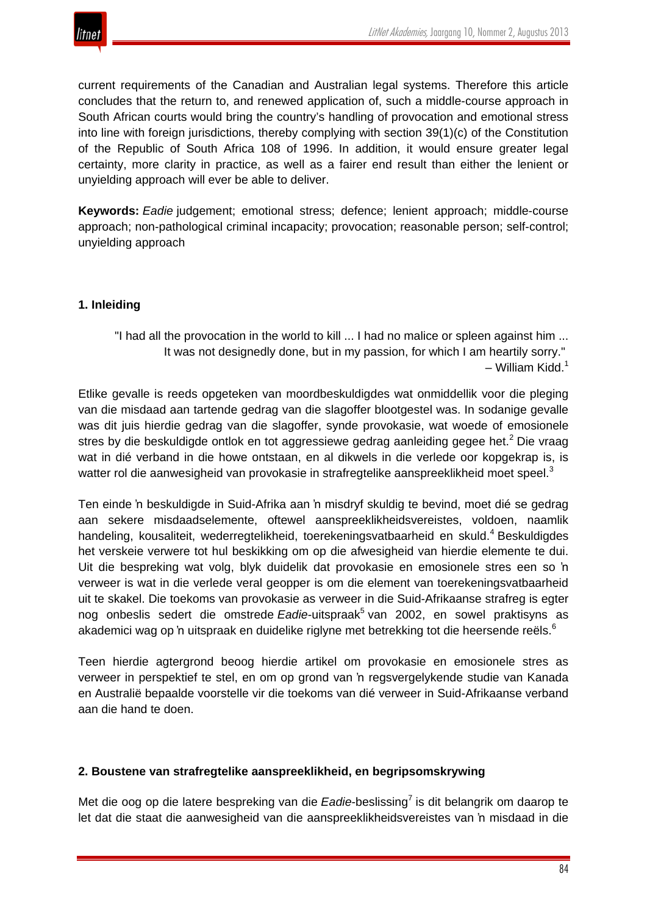

current requirements of the Canadian and Australian legal systems. Therefore this article concludes that the return to, and renewed application of, such a middle-course approach in South African courts would bring the country's handling of provocation and emotional stress into line with foreign jurisdictions, thereby complying with section 39(1)(c) of the Constitution of the Republic of South Africa 108 of 1996. In addition, it would ensure greater legal certainty, more clarity in practice, as well as a fairer end result than either the lenient or unyielding approach will ever be able to deliver.

**Keywords:** *Eadie* judgement; emotional stress; defence; lenient approach; middle-course approach; non-pathological criminal incapacity; provocation; reasonable person; self-control; unyielding approach

## **1. Inleiding**

"I had all the provocation in the world to kill ... I had no malice or spleen against him ... It was not designedly done, but in my passion, for which I am heartily sorry."  $-$  William Kidd.<sup>1</sup>

Etlike gevalle is reeds opgeteken van moordbeskuldigdes wat onmiddellik voor die pleging van die misdaad aan tartende gedrag van die slagoffer blootgestel was. In sodanige gevalle was dit juis hierdie gedrag van die slagoffer, synde provokasie, wat woede of emosionele stres by die beskuldigde ontlok en tot aggressiewe gedrag aanleiding gegee het.<sup>2</sup> Die vraag wat in dié verband in die howe ontstaan, en al dikwels in die verlede oor kopgekrap is, is watter rol die aanwesigheid van provokasie in strafregtelike aanspreeklikheid moet speel.<sup>3</sup>

Ten einde 'n beskuldigde in Suid-Afrika aan 'n misdryf skuldig te bevind, moet dié se gedrag aan sekere misdaadselemente, oftewel aanspreeklikheidsvereistes, voldoen, naamlik handeling, kousaliteit, wederregtelikheid, toerekeningsvatbaarheid en skuld.<sup>4</sup> Beskuldigdes het verskeie verwere tot hul beskikking om op die afwesigheid van hierdie elemente te dui. Uit die bespreking wat volg, blyk duidelik dat provokasie en emosionele stres een so 'n verweer is wat in die verlede veral geopper is om die element van toerekeningsvatbaarheid uit te skakel. Die toekoms van provokasie as verweer in die Suid-Afrikaanse strafreg is egter nog onbeslis sedert die omstrede *Eadie*-uitspraak<sup>5</sup> van 2002, en sowel praktisyns as akademici wag op 'n uitspraak en duidelike riglyne met betrekking tot die heersende reëls.<sup>6</sup>

Teen hierdie agtergrond beoog hierdie artikel om provokasie en emosionele stres as verweer in perspektief te stel, en om op grond van 'n regsvergelykende studie van Kanada en Australië bepaalde voorstelle vir die toekoms van dié verweer in Suid-Afrikaanse verband aan die hand te doen.

## **2. Boustene van strafregtelike aanspreeklikheid, en begripsomskrywing**

Met die oog op die latere bespreking van die *Eadie*-beslissing<sup>7</sup> is dit belangrik om daarop te let dat die staat die aanwesigheid van die aanspreeklikheidsvereistes van 'n misdaad in die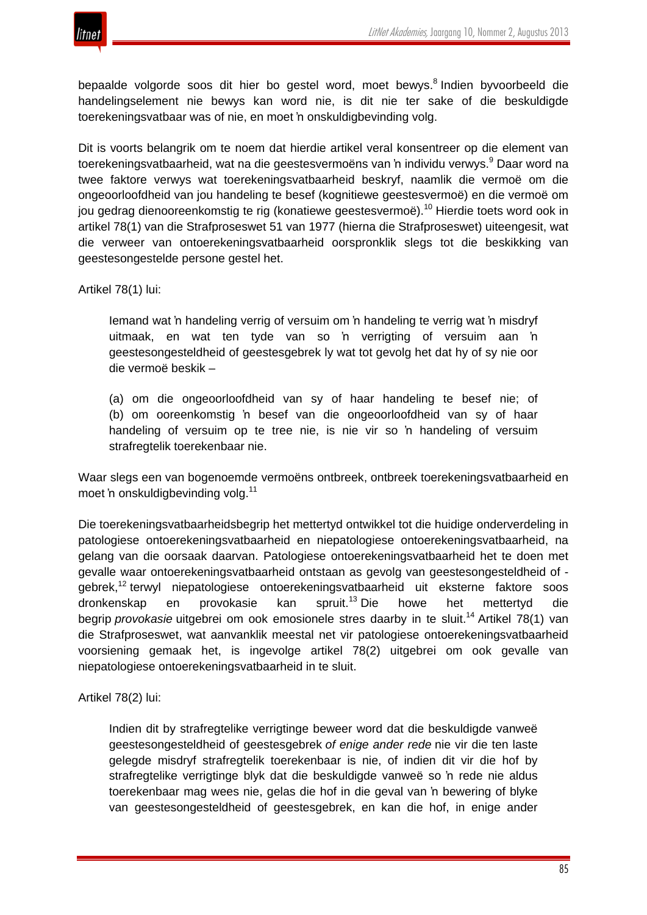



bepaalde volgorde soos dit hier bo gestel word, moet bewys.<sup>8</sup> Indien byvoorbeeld die handelingselement nie bewys kan word nie, is dit nie ter sake of die beskuldigde toerekeningsvatbaar was of nie, en moet 'n onskuldigbevinding volg.

Dit is voorts belangrik om te noem dat hierdie artikel veral konsentreer op die element van toerekeningsvatbaarheid, wat na die geestesvermoëns van 'n individu verwys.<sup>9</sup> Daar word na twee faktore verwys wat toerekeningsvatbaarheid beskryf, naamlik die vermoë om die ongeoorloofdheid van jou handeling te besef (kognitiewe geestesvermoë) en die vermoë om jou gedrag dienooreenkomstig te rig (konatiewe geestesvermoë).<sup>10</sup> Hierdie toets word ook in artikel 78(1) van die Strafproseswet 51 van 1977 (hierna die Strafproseswet) uiteengesit, wat die verweer van ontoerekeningsvatbaarheid oorspronklik slegs tot die beskikking van geestesongestelde persone gestel het.

Artikel 78(1) lui:

Iemand wat 'n handeling verrig of versuim om 'n handeling te verrig wat 'n misdryf uitmaak, en wat ten tyde van so 'n verrigting of versuim aan 'n geestesongesteldheid of geestesgebrek ly wat tot gevolg het dat hy of sy nie oor die vermoë beskik –

(a) om die ongeoorloofdheid van sy of haar handeling te besef nie; of (b) om ooreenkomstig 'n besef van die ongeoorloofdheid van sy of haar handeling of versuim op te tree nie, is nie vir so 'n handeling of versuim strafregtelik toerekenbaar nie.

Waar slegs een van bogenoemde vermoëns ontbreek, ontbreek toerekeningsvatbaarheid en moet 'n onskuldigbevinding volg.<sup>11</sup>

Die toerekeningsvatbaarheidsbegrip het mettertyd ontwikkel tot die huidige onderverdeling in patologiese ontoerekeningsvatbaarheid en niepatologiese ontoerekeningsvatbaarheid, na gelang van die oorsaak daarvan. Patologiese ontoerekeningsvatbaarheid het te doen met gevalle waar ontoerekeningsvatbaarheid ontstaan as gevolg van geestesongesteldheid of gebrek,<sup>12</sup> terwyl niepatologiese ontoerekeningsvatbaarheid uit eksterne faktore soos dronkenskap en provokasie kan spruit.<sup>13</sup> Die howe het mettertyd die begrip *provokasie* uitgebrei om ook emosionele stres daarby in te sluit.<sup>14</sup> Artikel 78(1) van die Strafproseswet, wat aanvanklik meestal net vir patologiese ontoerekeningsvatbaarheid voorsiening gemaak het, is ingevolge artikel 78(2) uitgebrei om ook gevalle van niepatologiese ontoerekeningsvatbaarheid in te sluit.

Artikel 78(2) lui:

Indien dit by strafregtelike verrigtinge beweer word dat die beskuldigde vanweë geestesongesteldheid of geestesgebrek *of enige ander rede* nie vir die ten laste gelegde misdryf strafregtelik toerekenbaar is nie, of indien dit vir die hof by strafregtelike verrigtinge blyk dat die beskuldigde vanweë so 'n rede nie aldus toerekenbaar mag wees nie, gelas die hof in die geval van 'n bewering of blyke van geestesongesteldheid of geestesgebrek, en kan die hof, in enige ander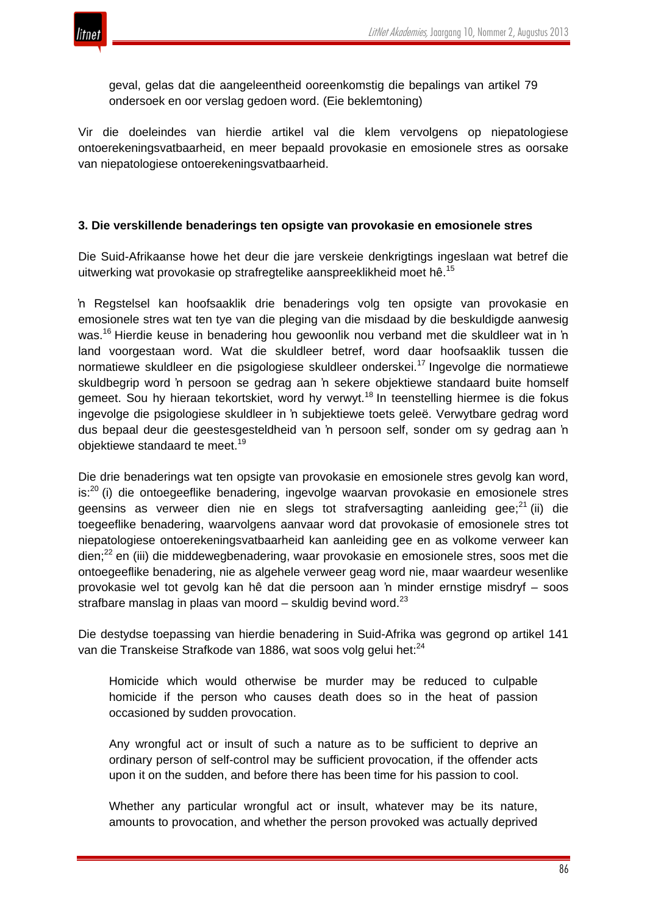

geval, gelas dat die aangeleentheid ooreenkomstig die bepalings van artikel 79 ondersoek en oor verslag gedoen word. (Eie beklemtoning)

Vir die doeleindes van hierdie artikel val die klem vervolgens op niepatologiese ontoerekeningsvatbaarheid, en meer bepaald provokasie en emosionele stres as oorsake van niepatologiese ontoerekeningsvatbaarheid.

## **3. Die verskillende benaderings ten opsigte van provokasie en emosionele stres**

Die Suid-Afrikaanse howe het deur die jare verskeie denkrigtings ingeslaan wat betref die uitwerking wat provokasie op strafregtelike aanspreeklikheid moet hê.<sup>15</sup>

'n Regstelsel kan hoofsaaklik drie benaderings volg ten opsigte van provokasie en emosionele stres wat ten tye van die pleging van die misdaad by die beskuldigde aanwesig was.<sup>16</sup> Hierdie keuse in benadering hou gewoonlik nou verband met die skuldleer wat in 'n land voorgestaan word. Wat die skuldleer betref, word daar hoofsaaklik tussen die normatiewe skuldleer en die psigologiese skuldleer onderskei.<sup>17</sup> Ingevolge die normatiewe skuldbegrip word 'n persoon se gedrag aan 'n sekere objektiewe standaard buite homself gemeet. Sou hy hieraan tekortskiet, word hy verwyt.<sup>18</sup> In teenstelling hiermee is die fokus ingevolge die psigologiese skuldleer in 'n subjektiewe toets geleë. Verwytbare gedrag word dus bepaal deur die geestesgesteldheid van 'n persoon self, sonder om sy gedrag aan 'n objektiewe standaard te meet.<sup>19</sup>

Die drie benaderings wat ten opsigte van provokasie en emosionele stres gevolg kan word, is:<sup>20</sup> (i) die ontoegeeflike benadering, ingevolge waarvan provokasie en emosionele stres geensins as verweer dien nie en slegs tot strafversagting aanleiding gee; $^{21}$  (ii) die toegeeflike benadering, waarvolgens aanvaar word dat provokasie of emosionele stres tot niepatologiese ontoerekeningsvatbaarheid kan aanleiding gee en as volkome verweer kan dien;<sup>22</sup> en (iii) die middewegbenadering, waar provokasie en emosionele stres, soos met die ontoegeeflike benadering, nie as algehele verweer geag word nie, maar waardeur wesenlike provokasie wel tot gevolg kan hê dat die persoon aan 'n minder ernstige misdryf – soos strafbare manslag in plaas van moord – skuldig bevind word. $^{23}$ 

Die destydse toepassing van hierdie benadering in Suid-Afrika was gegrond op artikel 141 van die Transkeise Strafkode van 1886, wat soos volg gelui het:<sup>24</sup>

Homicide which would otherwise be murder may be reduced to culpable homicide if the person who causes death does so in the heat of passion occasioned by sudden provocation.

Any wrongful act or insult of such a nature as to be sufficient to deprive an ordinary person of self-control may be sufficient provocation, if the offender acts upon it on the sudden, and before there has been time for his passion to cool.

Whether any particular wrongful act or insult, whatever may be its nature, amounts to provocation, and whether the person provoked was actually deprived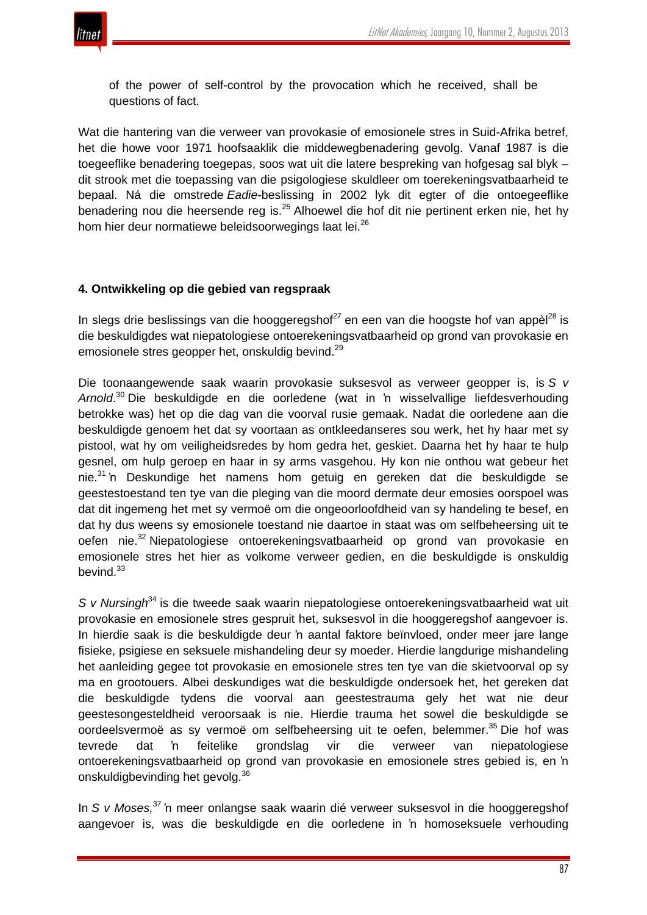

of the power of self-control by the provocation which he received, shall be questions of fact.

Wat die hantering van die verweer van provokasie of emosionele stres in Suid-Afrika betref, het die howe voor 1971 hoofsaaklik die middewegbenadering gevolg. Vanaf 1987 is die toegeeflike benadering toegepas, soos wat uit die latere bespreking van hofgesag sal blyk – dit strook met die toepassing van die psigologiese skuldleer om toerekeningsvatbaarheid te bepaal. Ná die omstrede *Eadie*-beslissing in 2002 lyk dit egter of die ontoegeeflike benadering nou die heersende reg is.<sup>25</sup> Alhoewel die hof dit nie pertinent erken nie, het hy hom hier deur normatiewe beleidsoorwegings laat lei.<sup>26</sup>

# **4. Ontwikkeling op die gebied van regspraak**

In slegs drie beslissings van die hooggeregshof $^{27}$  en een van die hoogste hof van appèl $^{28}$  is die beskuldigdes wat niepatologiese ontoerekeningsvatbaarheid op grond van provokasie en emosionele stres geopper het, onskuldig bevind.<sup>29</sup>

Die toonaangewende saak waarin provokasie suksesvol as verweer geopper is, is *S v Arnold*. <sup>30</sup> Die beskuldigde en die oorledene (wat in 'n wisselvallige liefdesverhouding betrokke was) het op die dag van die voorval rusie gemaak. Nadat die oorledene aan die beskuldigde genoem het dat sy voortaan as ontkleedanseres sou werk, het hy haar met sy pistool, wat hy om veiligheidsredes by hom gedra het, geskiet. Daarna het hy haar te hulp gesnel, om hulp geroep en haar in sy arms vasgehou. Hy kon nie onthou wat gebeur het nie.<sup>31</sup> 'n Deskundige het namens hom getuig en gereken dat die beskuldigde se geestestoestand ten tye van die pleging van die moord dermate deur emosies oorspoel was dat dit ingemeng het met sy vermoë om die ongeoorloofdheid van sy handeling te besef, en dat hy dus weens sy emosionele toestand nie daartoe in staat was om selfbeheersing uit te oefen nie.<sup>32</sup> Niepatologiese ontoerekeningsvatbaarheid op grond van provokasie en emosionele stres het hier as volkome verweer gedien, en die beskuldigde is onskuldig bevind $33$ 

*S v Nursingh*<sup>34</sup> is die tweede saak waarin niepatologiese ontoerekeningsvatbaarheid wat uit provokasie en emosionele stres gespruit het, suksesvol in die hooggeregshof aangevoer is. In hierdie saak is die beskuldigde deur 'n aantal faktore beïnvloed, onder meer jare lange fisieke, psigiese en seksuele mishandeling deur sy moeder. Hierdie langdurige mishandeling het aanleiding gegee tot provokasie en emosionele stres ten tye van die skietvoorval op sy ma en grootouers. Albei deskundiges wat die beskuldigde ondersoek het, het gereken dat die beskuldigde tydens die voorval aan geestestrauma gely het wat nie deur geestesongesteldheid veroorsaak is nie. Hierdie trauma het sowel die beskuldigde se oordeelsvermoë as sy vermoë om selfbeheersing uit te oefen, belemmer.<sup>35</sup> Die hof was tevrede dat 'n feitelike grondslag vir die verweer van niepatologiese ontoerekeningsvatbaarheid op grond van provokasie en emosionele stres gebied is, en 'n onskuldigbevinding het gevolg.<sup>36</sup>

In *S v Moses,*<sup>37</sup> 'n meer onlangse saak waarin dié verweer suksesvol in die hooggeregshof aangevoer is, was die beskuldigde en die oorledene in 'n homoseksuele verhouding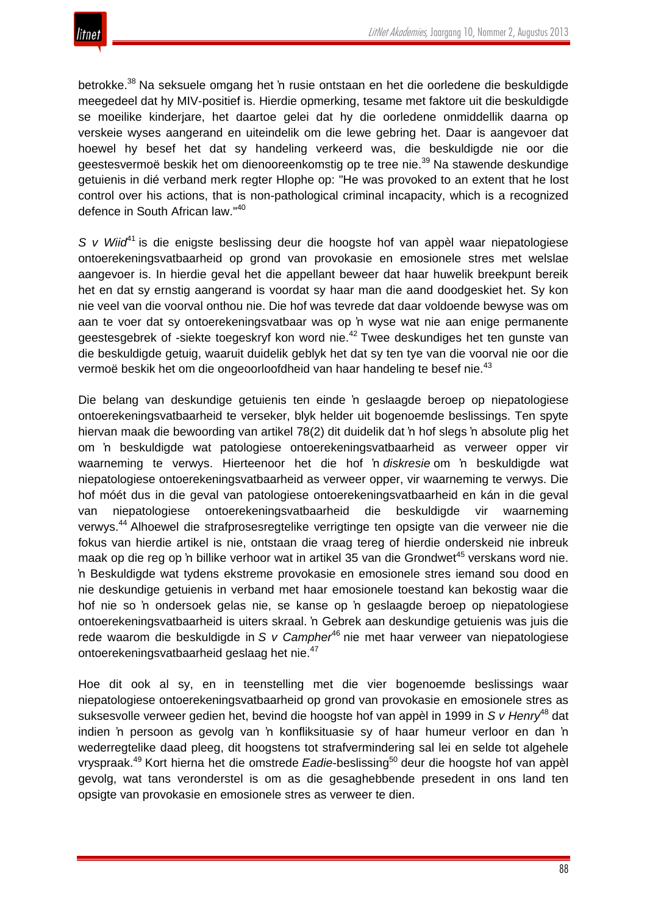

betrokke.<sup>38</sup> Na seksuele omgang het 'n rusie ontstaan en het die oorledene die beskuldigde meegedeel dat hy MIV-positief is. Hierdie opmerking, tesame met faktore uit die beskuldigde se moeilike kinderjare, het daartoe gelei dat hy die oorledene onmiddellik daarna op verskeie wyses aangerand en uiteindelik om die lewe gebring het. Daar is aangevoer dat hoewel hy besef het dat sy handeling verkeerd was, die beskuldigde nie oor die geestesvermoë beskik het om dienooreenkomstig op te tree nie.<sup>39</sup> Na stawende deskundige getuienis in dié verband merk regter Hlophe op: "He was provoked to an extent that he lost control over his actions, that is non-pathological criminal incapacity, which is a recognized defence in South African law."<sup>40</sup>

*S v Wiid*<sup>41</sup> is die enigste beslissing deur die hoogste hof van appèl waar niepatologiese ontoerekeningsvatbaarheid op grond van provokasie en emosionele stres met welslae aangevoer is. In hierdie geval het die appellant beweer dat haar huwelik breekpunt bereik het en dat sy ernstig aangerand is voordat sy haar man die aand doodgeskiet het. Sy kon nie veel van die voorval onthou nie. Die hof was tevrede dat daar voldoende bewyse was om aan te voer dat sy ontoerekeningsvatbaar was op 'n wyse wat nie aan enige permanente geestesgebrek of -siekte toegeskryf kon word nie.<sup>42</sup> Twee deskundiges het ten gunste van die beskuldigde getuig, waaruit duidelik geblyk het dat sy ten tye van die voorval nie oor die vermoë beskik het om die ongeoorloofdheid van haar handeling te besef nie.<sup>43</sup>

Die belang van deskundige getuienis ten einde 'n geslaagde beroep op niepatologiese ontoerekeningsvatbaarheid te verseker, blyk helder uit bogenoemde beslissings. Ten spyte hiervan maak die bewoording van artikel 78(2) dit duidelik dat 'n hof slegs 'n absolute plig het om 'n beskuldigde wat patologiese ontoerekeningsvatbaarheid as verweer opper vir waarneming te verwys. Hierteenoor het die hof 'n *diskresie* om 'n beskuldigde wat niepatologiese ontoerekeningsvatbaarheid as verweer opper, vir waarneming te verwys. Die hof móét dus in die geval van patologiese ontoerekeningsvatbaarheid en kán in die geval van niepatologiese ontoerekeningsvatbaarheid die beskuldigde vir waarneming verwys.<sup>44</sup> Alhoewel die strafprosesregtelike verrigtinge ten opsigte van die verweer nie die fokus van hierdie artikel is nie, ontstaan die vraag tereg of hierdie onderskeid nie inbreuk maak op die reg op 'n billike verhoor wat in artikel 35 van die Grondwet<sup>45</sup> verskans word nie. 'n Beskuldigde wat tydens ekstreme provokasie en emosionele stres iemand sou dood en nie deskundige getuienis in verband met haar emosionele toestand kan bekostig waar die hof nie so 'n ondersoek gelas nie, se kanse op 'n geslaagde beroep op niepatologiese ontoerekeningsvatbaarheid is uiters skraal. 'n Gebrek aan deskundige getuienis was juis die rede waarom die beskuldigde in *S v Campher*<sup>46</sup> nie met haar verweer van niepatologiese ontoerekeningsvatbaarheid geslaag het nie.<sup>47</sup>

Hoe dit ook al sy, en in teenstelling met die vier bogenoemde beslissings waar niepatologiese ontoerekeningsvatbaarheid op grond van provokasie en emosionele stres as suksesvolle verweer gedien het, bevind die hoogste hof van appèl in 1999 in *S v Henry*<sup>48</sup> dat indien 'n persoon as gevolg van 'n konfliksituasie sy of haar humeur verloor en dan 'n wederregtelike daad pleeg, dit hoogstens tot strafvermindering sal lei en selde tot algehele vryspraak.<sup>49</sup> Kort hierna het die omstrede *Eadie*-beslissing<sup>50</sup> deur die hoogste hof van appèl gevolg, wat tans veronderstel is om as die gesaghebbende presedent in ons land ten opsigte van provokasie en emosionele stres as verweer te dien.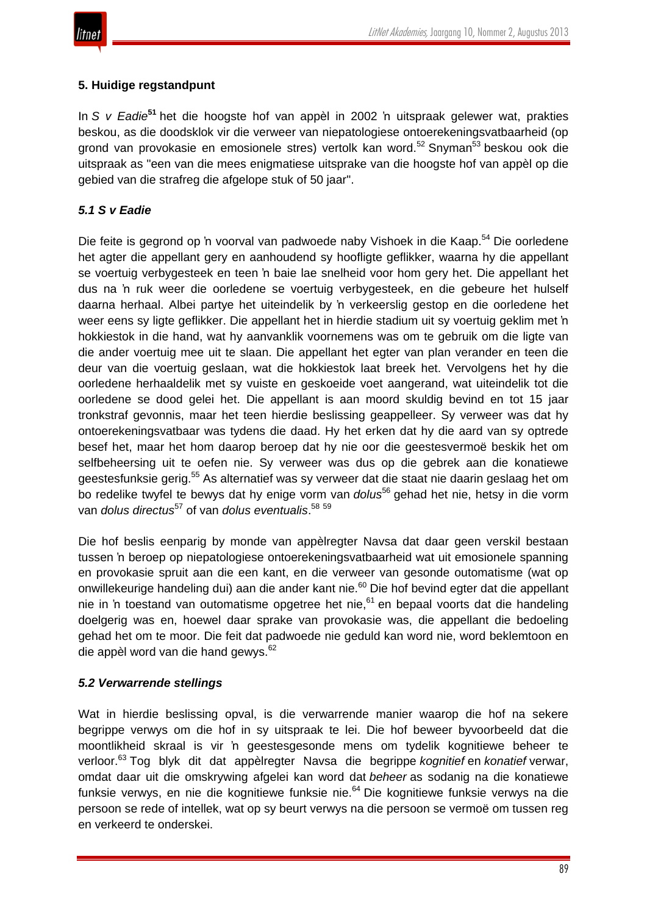

# **5. Huidige regstandpunt**

In *S v Eadie***<sup>51</sup>** het die hoogste hof van appèl in 2002 'n uitspraak gelewer wat, prakties beskou, as die doodsklok vir die verweer van niepatologiese ontoerekeningsvatbaarheid (op grond van provokasie en emosionele stres) vertolk kan word.<sup>52</sup> Snyman<sup>53</sup> beskou ook die uitspraak as "een van die mees enigmatiese uitsprake van die hoogste hof van appèl op die gebied van die strafreg die afgelope stuk of 50 jaar".

# *5.1 S v Eadie*

Die feite is gegrond op 'n voorval van padwoede naby Vishoek in die Kaap.<sup>54</sup> Die oorledene het agter die appellant gery en aanhoudend sy hoofligte geflikker, waarna hy die appellant se voertuig verbygesteek en teen 'n baie lae snelheid voor hom gery het. Die appellant het dus na 'n ruk weer die oorledene se voertuig verbygesteek, en die gebeure het hulself daarna herhaal. Albei partye het uiteindelik by 'n verkeerslig gestop en die oorledene het weer eens sy ligte geflikker. Die appellant het in hierdie stadium uit sy voertuig geklim met 'n hokkiestok in die hand, wat hy aanvanklik voornemens was om te gebruik om die ligte van die ander voertuig mee uit te slaan. Die appellant het egter van plan verander en teen die deur van die voertuig geslaan, wat die hokkiestok laat breek het. Vervolgens het hy die oorledene herhaaldelik met sy vuiste en geskoeide voet aangerand, wat uiteindelik tot die oorledene se dood gelei het. Die appellant is aan moord skuldig bevind en tot 15 jaar tronkstraf gevonnis, maar het teen hierdie beslissing geappelleer. Sy verweer was dat hy ontoerekeningsvatbaar was tydens die daad. Hy het erken dat hy die aard van sy optrede besef het, maar het hom daarop beroep dat hy nie oor die geestesvermoë beskik het om selfbeheersing uit te oefen nie. Sy verweer was dus op die gebrek aan die konatiewe geestesfunksie gerig.<sup>55</sup> As alternatief was sy verweer dat die staat nie daarin geslaag het om bo redelike twyfel te bewys dat hy enige vorm van *dolus*<sup>56</sup> gehad het nie, hetsy in die vorm van *dolus directus*<sup>57</sup> of van *dolus eventualis*. 58 59

Die hof beslis eenparig by monde van appèlregter Navsa dat daar geen verskil bestaan tussen 'n beroep op niepatologiese ontoerekeningsvatbaarheid wat uit emosionele spanning en provokasie spruit aan die een kant, en die verweer van gesonde outomatisme (wat op onwillekeurige handeling dui) aan die ander kant nie.<sup>60</sup> Die hof bevind egter dat die appellant nie in 'n toestand van outomatisme opgetree het nie,<sup>61</sup> en bepaal voorts dat die handeling doelgerig was en, hoewel daar sprake van provokasie was, die appellant die bedoeling gehad het om te moor. Die feit dat padwoede nie geduld kan word nie, word beklemtoon en die appèl word van die hand gewys.<sup>62</sup>

## *5.2 Verwarrende stellings*

Wat in hierdie beslissing opval, is die verwarrende manier waarop die hof na sekere begrippe verwys om die hof in sy uitspraak te lei. Die hof beweer byvoorbeeld dat die moontlikheid skraal is vir 'n geestesgesonde mens om tydelik kognitiewe beheer te verloor.<sup>63</sup> Tog blyk dit dat appèlregter Navsa die begrippe *kognitief* en *konatief* verwar, omdat daar uit die omskrywing afgelei kan word dat *beheer* as sodanig na die konatiewe funksie verwys, en nie die kognitiewe funksie nie.<sup>64</sup> Die kognitiewe funksie verwys na die persoon se rede of intellek, wat op sy beurt verwys na die persoon se vermoë om tussen reg en verkeerd te onderskei.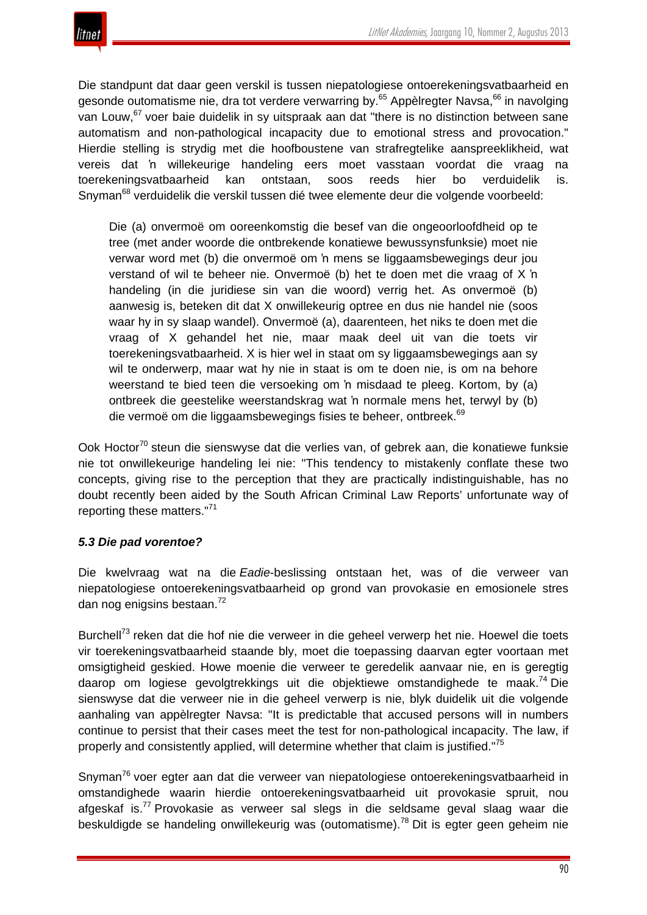Die standpunt dat daar geen verskil is tussen niepatologiese ontoerekeningsvatbaarheid en gesonde outomatisme nie, dra tot verdere verwarring by.<sup>65</sup> Appèlregter Navsa,<sup>66</sup> in navolging van Louw.<sup>67</sup> voer baie duidelik in sy uitspraak aan dat "there is no distinction between sane automatism and non-pathological incapacity due to emotional stress and provocation." Hierdie stelling is strydig met die hoofboustene van strafregtelike aanspreeklikheid, wat vereis dat 'n willekeurige handeling eers moet vasstaan voordat die vraag na toerekeningsvatbaarheid kan ontstaan, soos reeds hier bo verduidelik is. Snyman<sup>68</sup> verduidelik die verskil tussen dié twee elemente deur die volgende voorbeeld:

Die (a) onvermoë om ooreenkomstig die besef van die ongeoorloofdheid op te tree (met ander woorde die ontbrekende konatiewe bewussynsfunksie) moet nie verwar word met (b) die onvermoë om 'n mens se liggaamsbewegings deur jou verstand of wil te beheer nie. Onvermoë (b) het te doen met die vraag of X 'n handeling (in die juridiese sin van die woord) verrig het. As onvermoë (b) aanwesig is, beteken dit dat X onwillekeurig optree en dus nie handel nie (soos waar hy in sy slaap wandel). Onvermoë (a), daarenteen, het niks te doen met die vraag of X gehandel het nie, maar maak deel uit van die toets vir toerekeningsvatbaarheid. X is hier wel in staat om sy liggaamsbewegings aan sy wil te onderwerp, maar wat hy nie in staat is om te doen nie, is om na behore weerstand te bied teen die versoeking om 'n misdaad te pleeg. Kortom, by (a) ontbreek die geestelike weerstandskrag wat 'n normale mens het, terwyl by (b) die vermoë om die liggaamsbewegings fisies te beheer, ontbreek.<sup>69</sup>

Ook Hoctor<sup>70</sup> steun die sienswyse dat die verlies van, of gebrek aan, die konatiewe funksie nie tot onwillekeurige handeling lei nie: "This tendency to mistakenly conflate these two concepts, giving rise to the perception that they are practically indistinguishable, has no doubt recently been aided by the South African Criminal Law Reports' unfortunate way of reporting these matters."<sup>71</sup>

# *5.3 Die pad vorentoe?*

Die kwelvraag wat na die *Eadie*-beslissing ontstaan het, was of die verweer van niepatologiese ontoerekeningsvatbaarheid op grond van provokasie en emosionele stres dan nog enigsins bestaan.<sup>72</sup>

Burchell<sup>73</sup> reken dat die hof nie die verweer in die geheel verwerp het nie. Hoewel die toets vir toerekeningsvatbaarheid staande bly, moet die toepassing daarvan egter voortaan met omsigtigheid geskied. Howe moenie die verweer te geredelik aanvaar nie, en is geregtig daarop om logiese gevolgtrekkings uit die objektiewe omstandighede te maak.<sup>74</sup> Die sienswyse dat die verweer nie in die geheel verwerp is nie, blyk duidelik uit die volgende aanhaling van appèlregter Navsa: "It is predictable that accused persons will in numbers continue to persist that their cases meet the test for non-pathological incapacity. The law, if properly and consistently applied, will determine whether that claim is justified."<sup>75</sup>

Snyman<sup>76</sup> voer egter aan dat die verweer van niepatologiese ontoerekeningsvatbaarheid in omstandighede waarin hierdie ontoerekeningsvatbaarheid uit provokasie spruit, nou afgeskaf is.77 Provokasie as verweer sal slegs in die seldsame geval slaag waar die beskuldigde se handeling onwillekeurig was (outomatisme).<sup>78</sup> Dit is egter geen geheim nie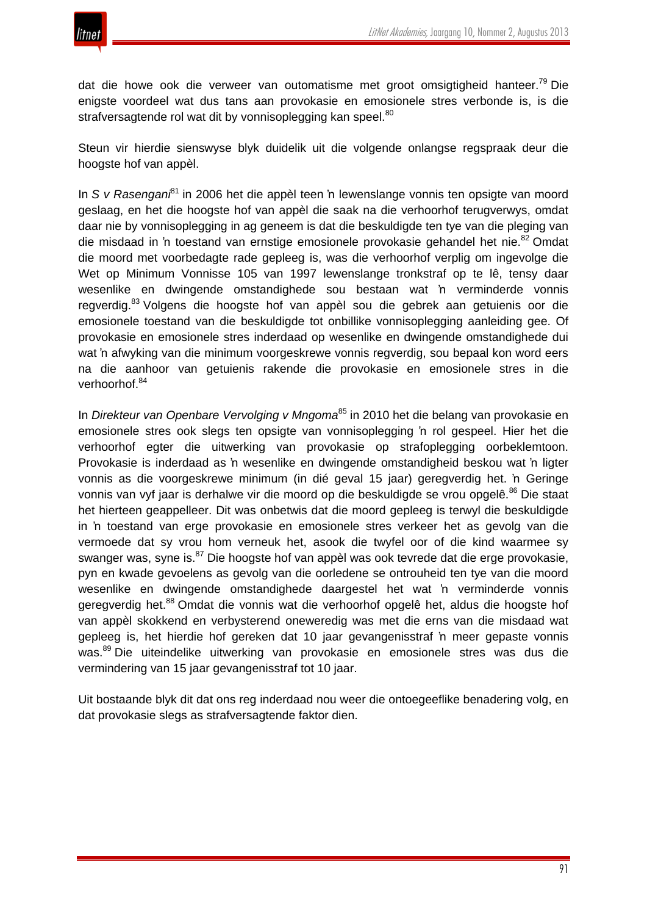



dat die howe ook die verweer van outomatisme met groot omsigtigheid hanteer.<sup>79</sup> Die enigste voordeel wat dus tans aan provokasie en emosionele stres verbonde is, is die strafversagtende rol wat dit by vonnisoplegging kan speel.<sup>80</sup>

Steun vir hierdie sienswyse blyk duidelik uit die volgende onlangse regspraak deur die hoogste hof van appèl.

In *S v Rasengani*<sup>81</sup> in 2006 het die appèl teen 'n lewenslange vonnis ten opsigte van moord geslaag, en het die hoogste hof van appèl die saak na die verhoorhof terugverwys, omdat daar nie by vonnisoplegging in ag geneem is dat die beskuldigde ten tye van die pleging van die misdaad in 'n toestand van ernstige emosionele provokasie gehandel het nie.<sup>82</sup> Omdat die moord met voorbedagte rade gepleeg is, was die verhoorhof verplig om ingevolge die Wet op Minimum Vonnisse 105 van 1997 lewenslange tronkstraf op te lê, tensy daar wesenlike en dwingende omstandighede sou bestaan wat 'n verminderde vonnis regverdig.<sup>83</sup> Volgens die hoogste hof van appèl sou die gebrek aan getuienis oor die emosionele toestand van die beskuldigde tot onbillike vonnisoplegging aanleiding gee. Of provokasie en emosionele stres inderdaad op wesenlike en dwingende omstandighede dui wat 'n afwyking van die minimum voorgeskrewe vonnis regverdig, sou bepaal kon word eers na die aanhoor van getuienis rakende die provokasie en emosionele stres in die verhoorhof.<sup>84</sup>

In *Direkteur van Openbare Vervolging v Mngoma*<sup>85</sup> in 2010 het die belang van provokasie en emosionele stres ook slegs ten opsigte van vonnisoplegging 'n rol gespeel. Hier het die verhoorhof egter die uitwerking van provokasie op strafoplegging oorbeklemtoon. Provokasie is inderdaad as 'n wesenlike en dwingende omstandigheid beskou wat 'n ligter vonnis as die voorgeskrewe minimum (in dié geval 15 jaar) geregverdig het. 'n Geringe vonnis van vyf jaar is derhalwe vir die moord op die beskuldigde se vrou opgelê.<sup>86</sup> Die staat het hierteen geappelleer. Dit was onbetwis dat die moord gepleeg is terwyl die beskuldigde in 'n toestand van erge provokasie en emosionele stres verkeer het as gevolg van die vermoede dat sy vrou hom verneuk het, asook die twyfel oor of die kind waarmee sy swanger was, syne is.<sup>87</sup> Die hoogste hof van appèl was ook teyrede dat die erge provokasie, pyn en kwade gevoelens as gevolg van die oorledene se ontrouheid ten tye van die moord wesenlike en dwingende omstandighede daargestel het wat 'n verminderde vonnis geregverdig het.<sup>88</sup> Omdat die vonnis wat die verhoorhof opgelê het, aldus die hoogste hof van appèl skokkend en verbysterend oneweredig was met die erns van die misdaad wat gepleeg is, het hierdie hof gereken dat 10 jaar gevangenisstraf 'n meer gepaste vonnis was.<sup>89</sup> Die uiteindelike uitwerking van provokasie en emosionele stres was dus die vermindering van 15 jaar gevangenisstraf tot 10 jaar.

Uit bostaande blyk dit dat ons reg inderdaad nou weer die ontoegeeflike benadering volg, en dat provokasie slegs as strafversagtende faktor dien.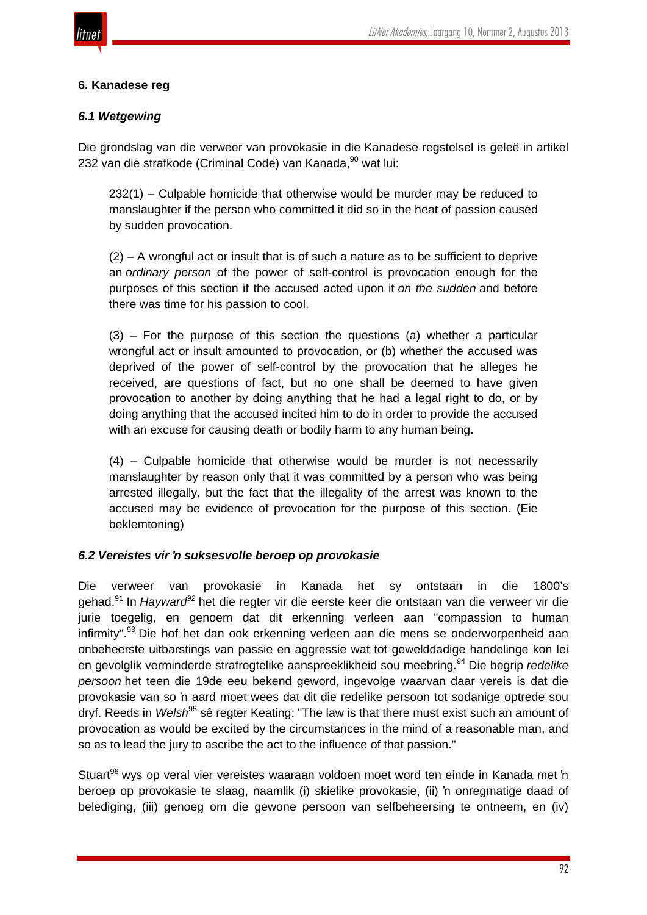

# **6. Kanadese reg**

## *6.1 Wetgewing*

Die grondslag van die verweer van provokasie in die Kanadese regstelsel is geleë in artikel 232 van die strafkode (Criminal Code) van Kanada, <sup>90</sup> wat lui:

232(1) – Culpable homicide that otherwise would be murder may be reduced to manslaughter if the person who committed it did so in the heat of passion caused by sudden provocation.

 $(2)$  – A wrongful act or insult that is of such a nature as to be sufficient to deprive an *ordinary person* of the power of self-control is provocation enough for the purposes of this section if the accused acted upon it *on the sudden* and before there was time for his passion to cool.

(3) – For the purpose of this section the questions (a) whether a particular wrongful act or insult amounted to provocation, or (b) whether the accused was deprived of the power of self-control by the provocation that he alleges he received, are questions of fact, but no one shall be deemed to have given provocation to another by doing anything that he had a legal right to do, or by doing anything that the accused incited him to do in order to provide the accused with an excuse for causing death or bodily harm to any human being.

(4) – Culpable homicide that otherwise would be murder is not necessarily manslaughter by reason only that it was committed by a person who was being arrested illegally, but the fact that the illegality of the arrest was known to the accused may be evidence of provocation for the purpose of this section. (Eie beklemtoning)

## *6.2 Vereistes vir 'n suksesvolle beroep op provokasie*

Die verweer van provokasie in Kanada het sy ontstaan in die 1800's gehad.<sup>91</sup> In *Hayward<sup>92</sup>* het die regter vir die eerste keer die ontstaan van die verweer vir die jurie toegelig, en genoem dat dit erkenning verleen aan "compassion to human infirmity".<sup>93</sup> Die hof het dan ook erkenning verleen aan die mens se onderworpenheid aan onbeheerste uitbarstings van passie en aggressie wat tot gewelddadige handelinge kon lei en gevolglik verminderde strafregtelike aanspreeklikheid sou meebring.<sup>94</sup> Die begrip *redelike persoon* het teen die 19de eeu bekend geword, ingevolge waarvan daar vereis is dat die provokasie van so 'n aard moet wees dat dit die redelike persoon tot sodanige optrede sou dryf. Reeds in *Welsh*<sup>95</sup> sê regter Keating: "The law is that there must exist such an amount of provocation as would be excited by the circumstances in the mind of a reasonable man, and so as to lead the jury to ascribe the act to the influence of that passion."

Stuart<sup>96</sup> wys op veral vier vereistes waaraan voldoen moet word ten einde in Kanada met 'n beroep op provokasie te slaag, naamlik (i) skielike provokasie, (ii) 'n onregmatige daad of belediging, (iii) genoeg om die gewone persoon van selfbeheersing te ontneem, en (iv)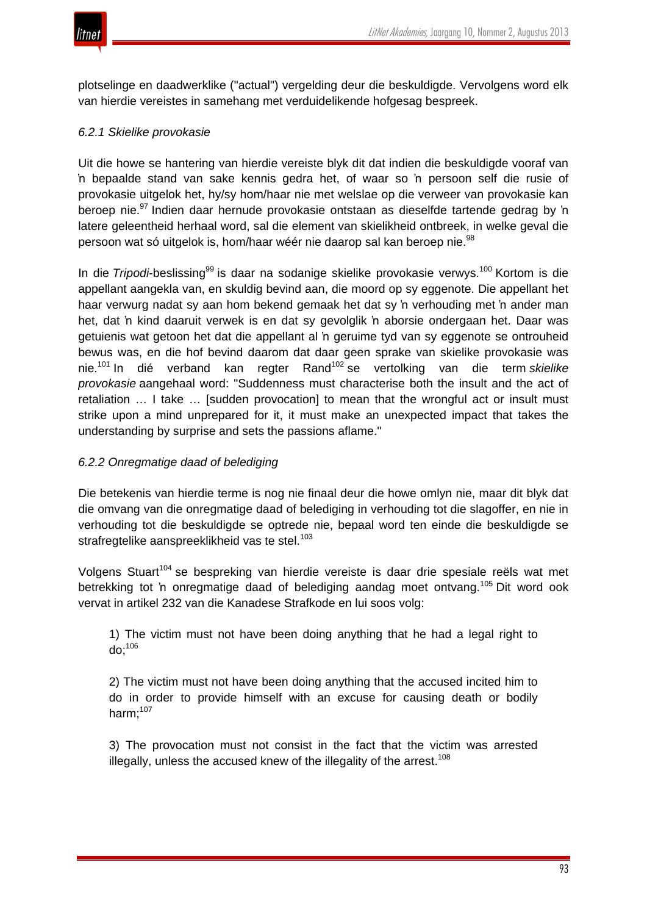

plotselinge en daadwerklike ("actual") vergelding deur die beskuldigde. Vervolgens word elk van hierdie vereistes in samehang met verduidelikende hofgesag bespreek.

# *6.2.1 Skielike provokasie*

Uit die howe se hantering van hierdie vereiste blyk dit dat indien die beskuldigde vooraf van 'n bepaalde stand van sake kennis gedra het, of waar so 'n persoon self die rusie of provokasie uitgelok het, hy/sy hom/haar nie met welslae op die verweer van provokasie kan beroep nie.<sup>97</sup> Indien daar hernude provokasie ontstaan as dieselfde tartende gedrag by 'n latere geleentheid herhaal word, sal die element van skielikheid ontbreek, in welke geval die persoon wat só uitgelok is, hom/haar wéér nie daarop sal kan beroep nie.<sup>98</sup>

In die *Tripodi*-beslissing<sup>99</sup> is daar na sodanige skielike provokasie verwys.<sup>100</sup> Kortom is die appellant aangekla van, en skuldig bevind aan, die moord op sy eggenote. Die appellant het haar verwurg nadat sy aan hom bekend gemaak het dat sy 'n verhouding met 'n ander man het, dat 'n kind daaruit verwek is en dat sy gevolglik 'n aborsie ondergaan het. Daar was getuienis wat getoon het dat die appellant al 'n geruime tyd van sy eggenote se ontrouheid bewus was, en die hof bevind daarom dat daar geen sprake van skielike provokasie was nie.<sup>101</sup> In dié verband kan regter Rand<sup>102</sup> se vertolking van die term *skielike provokasie* aangehaal word: "Suddenness must characterise both the insult and the act of retaliation … I take … [sudden provocation] to mean that the wrongful act or insult must strike upon a mind unprepared for it, it must make an unexpected impact that takes the understanding by surprise and sets the passions aflame."

## *6.2.2 Onregmatige daad of belediging*

Die betekenis van hierdie terme is nog nie finaal deur die howe omlyn nie, maar dit blyk dat die omvang van die onregmatige daad of belediging in verhouding tot die slagoffer, en nie in verhouding tot die beskuldigde se optrede nie, bepaal word ten einde die beskuldigde se strafregtelike aanspreeklikheid vas te stel.<sup>103</sup>

Volgens Stuart<sup>104</sup> se bespreking van hierdie vereiste is daar drie spesiale reëls wat met betrekking tot 'n onregmatige daad of belediging aandag moet ontvang.<sup>105</sup> Dit word ook vervat in artikel 232 van die Kanadese Strafkode en lui soos volg:

1) The victim must not have been doing anything that he had a legal right to  $d$ o;<sup>106</sup>

2) The victim must not have been doing anything that the accused incited him to do in order to provide himself with an excuse for causing death or bodily harm: $107$ 

3) The provocation must not consist in the fact that the victim was arrested illegally, unless the accused knew of the illegality of the arrest.<sup>108</sup>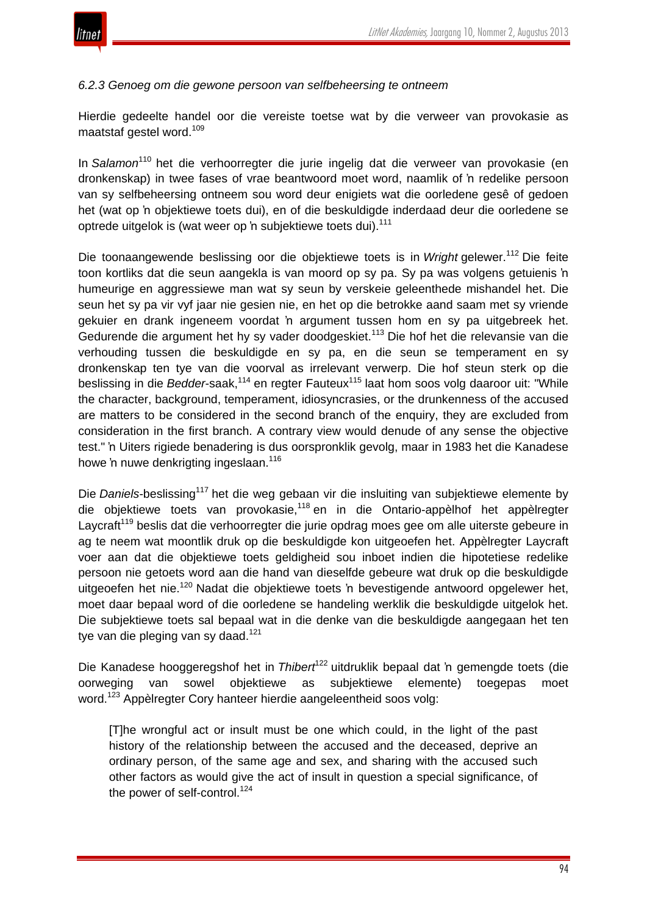

#### *6.2.3 Genoeg om die gewone persoon van selfbeheersing te ontneem*

Hierdie gedeelte handel oor die vereiste toetse wat by die verweer van provokasie as maatstaf gestel word.<sup>109</sup>

In *Salamon*<sup>110</sup> het die verhoorregter die jurie ingelig dat die verweer van provokasie (en dronkenskap) in twee fases of vrae beantwoord moet word, naamlik of 'n redelike persoon van sy selfbeheersing ontneem sou word deur enigiets wat die oorledene gesê of gedoen het (wat op 'n objektiewe toets dui), en of die beskuldigde inderdaad deur die oorledene se optrede uitgelok is (wat weer op 'n subjektiewe toets dui).<sup>111</sup>

Die toonaangewende beslissing oor die objektiewe toets is in *Wright* gelewer.<sup>112</sup> Die feite toon kortliks dat die seun aangekla is van moord op sy pa. Sy pa was volgens getuienis 'n humeurige en aggressiewe man wat sy seun by verskeie geleenthede mishandel het. Die seun het sy pa vir vyf jaar nie gesien nie, en het op die betrokke aand saam met sy vriende gekuier en drank ingeneem voordat 'n argument tussen hom en sy pa uitgebreek het. Gedurende die argument het hy sy vader doodgeskiet.<sup>113</sup> Die hof het die relevansie van die verhouding tussen die beskuldigde en sy pa, en die seun se temperament en sy dronkenskap ten tye van die voorval as irrelevant verwerp. Die hof steun sterk op die beslissing in die *Bedder*-saak,<sup>114</sup> en regter Fauteux115 laat hom soos volg daaroor uit: "While the character, background, temperament, idiosyncrasies, or the drunkenness of the accused are matters to be considered in the second branch of the enquiry, they are excluded from consideration in the first branch. A contrary view would denude of any sense the objective test." 'n Uiters rigiede benadering is dus oorspronklik gevolg, maar in 1983 het die Kanadese howe 'n nuwe denkrigting ingeslaan.<sup>116</sup>

Die *Daniels*-beslissing<sup>117</sup> het die weg gebaan vir die insluiting van subjektiewe elemente by die objektiewe toets van provokasie,<sup>118</sup> en in die Ontario-appèlhof het appèlregter Laycraft<sup>119</sup> beslis dat die verhoorregter die jurie opdrag moes gee om alle uiterste gebeure in ag te neem wat moontlik druk op die beskuldigde kon uitgeoefen het. Appèlregter Laycraft voer aan dat die objektiewe toets geldigheid sou inboet indien die hipotetiese redelike persoon nie getoets word aan die hand van dieselfde gebeure wat druk op die beskuldigde uitgeoefen het nie.<sup>120</sup> Nadat die objektiewe toets 'n bevestigende antwoord opgelewer het, moet daar bepaal word of die oorledene se handeling werklik die beskuldigde uitgelok het. Die subjektiewe toets sal bepaal wat in die denke van die beskuldigde aangegaan het ten tye van die pleging van sy daad.<sup>121</sup>

Die Kanadese hooggeregshof het in *Thibert<sup>122</sup>* uitdruklik bepaal dat 'n gemengde toets (die oorweging van sowel objektiewe as subjektiewe elemente) toegepas moet word.<sup>123</sup> Appèlregter Cory hanteer hierdie aangeleentheid soos volg:

[T]he wrongful act or insult must be one which could, in the light of the past history of the relationship between the accused and the deceased, deprive an ordinary person, of the same age and sex, and sharing with the accused such other factors as would give the act of insult in question a special significance, of the power of self-control.<sup>124</sup>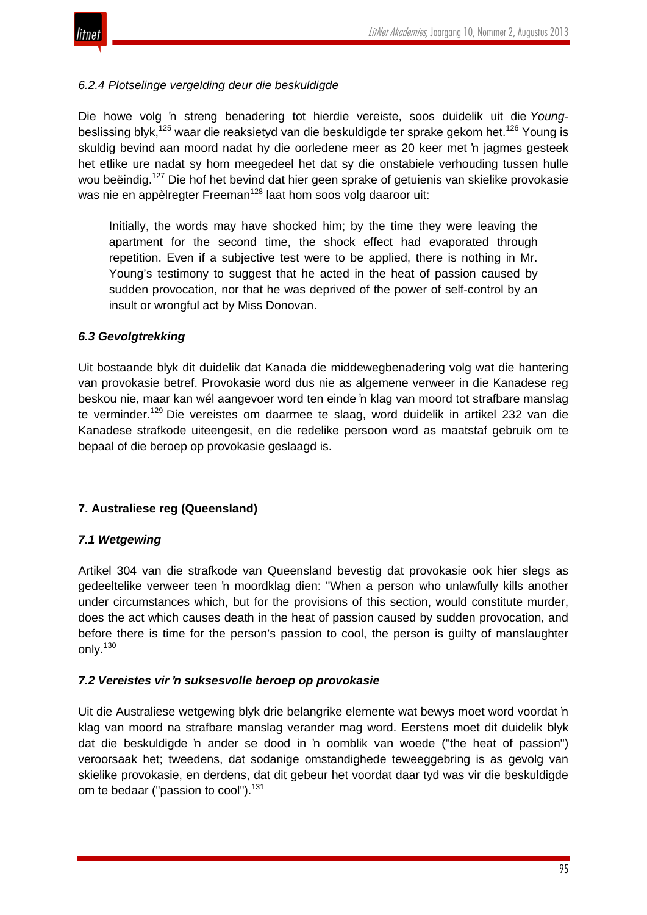

# *6.2.4 Plotselinge vergelding deur die beskuldigde*

Die howe volg 'n streng benadering tot hierdie vereiste, soos duidelik uit die *Young*beslissing blyk,<sup>125</sup> waar die reaksietyd van die beskuldigde ter sprake gekom het.<sup>126</sup> Young is skuldig bevind aan moord nadat hy die oorledene meer as 20 keer met 'n jagmes gesteek het etlike ure nadat sy hom meegedeel het dat sy die onstabiele verhouding tussen hulle wou beëindig.<sup>127</sup> Die hof het bevind dat hier geen sprake of getuienis van skielike provokasie was nie en appèlregter Freeman<sup>128</sup> laat hom soos volg daaroor uit:

Initially, the words may have shocked him; by the time they were leaving the apartment for the second time, the shock effect had evaporated through repetition. Even if a subjective test were to be applied, there is nothing in Mr. Young's testimony to suggest that he acted in the heat of passion caused by sudden provocation, nor that he was deprived of the power of self-control by an insult or wrongful act by Miss Donovan.

# *6.3 Gevolgtrekking*

Uit bostaande blyk dit duidelik dat Kanada die middewegbenadering volg wat die hantering van provokasie betref. Provokasie word dus nie as algemene verweer in die Kanadese reg beskou nie, maar kan wél aangevoer word ten einde 'n klag van moord tot strafbare manslag te verminder.<sup>129</sup> Die vereistes om daarmee te slaag, word duidelik in artikel 232 van die Kanadese strafkode uiteengesit, en die redelike persoon word as maatstaf gebruik om te bepaal of die beroep op provokasie geslaagd is.

# **7. Australiese reg (Queensland)**

## *7.1 Wetgewing*

Artikel 304 van die strafkode van Queensland bevestig dat provokasie ook hier slegs as gedeeltelike verweer teen 'n moordklag dien: "When a person who unlawfully kills another under circumstances which, but for the provisions of this section, would constitute murder, does the act which causes death in the heat of passion caused by sudden provocation, and before there is time for the person's passion to cool, the person is guilty of manslaughter only.<sup>130</sup>

## *7.2 Vereistes vir 'n suksesvolle beroep op provokasie*

Uit die Australiese wetgewing blyk drie belangrike elemente wat bewys moet word voordat 'n klag van moord na strafbare manslag verander mag word. Eerstens moet dit duidelik blyk dat die beskuldigde 'n ander se dood in 'n oomblik van woede ("the heat of passion") veroorsaak het; tweedens, dat sodanige omstandighede teweeggebring is as gevolg van skielike provokasie, en derdens, dat dit gebeur het voordat daar tyd was vir die beskuldigde om te bedaar ("passion to cool").<sup>131</sup>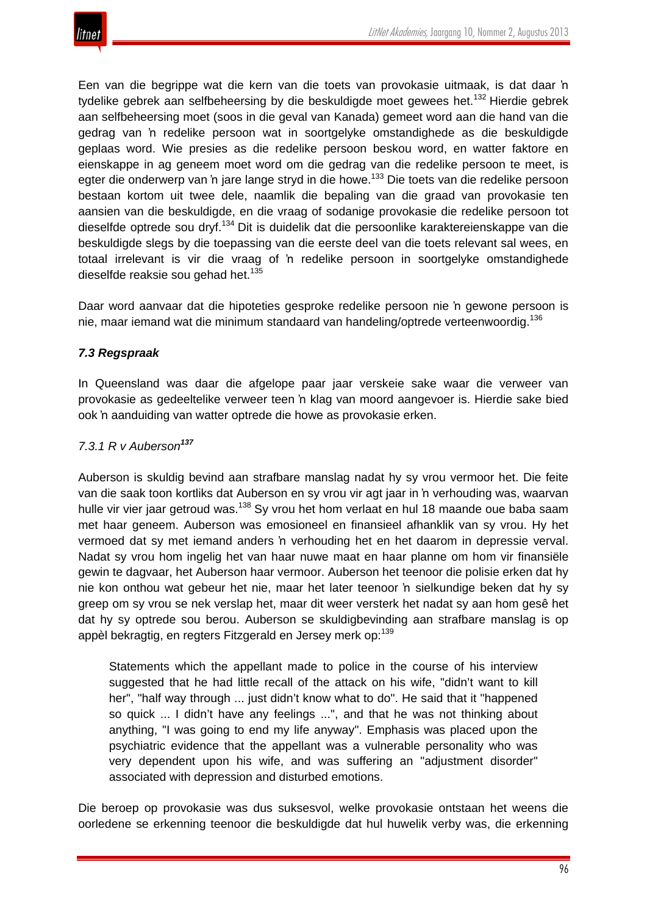Een van die begrippe wat die kern van die toets van provokasie uitmaak, is dat daar 'n tydelike gebrek aan selfbeheersing by die beskuldigde moet gewees het.<sup>132</sup> Hierdie gebrek aan selfbeheersing moet (soos in die geval van Kanada) gemeet word aan die hand van die gedrag van 'n redelike persoon wat in soortgelyke omstandighede as die beskuldigde geplaas word. Wie presies as die redelike persoon beskou word, en watter faktore en eienskappe in ag geneem moet word om die gedrag van die redelike persoon te meet, is egter die onderwerp van 'n jare lange stryd in die howe.<sup>133</sup> Die toets van die redelike persoon bestaan kortom uit twee dele, naamlik die bepaling van die graad van provokasie ten aansien van die beskuldigde, en die vraag of sodanige provokasie die redelike persoon tot dieselfde optrede sou dryf.<sup>134</sup> Dit is duidelik dat die persoonlike karaktereienskappe van die beskuldigde slegs by die toepassing van die eerste deel van die toets relevant sal wees, en totaal irrelevant is vir die vraag of 'n redelike persoon in soortgelyke omstandighede dieselfde reaksie sou gehad het.<sup>135</sup>

Daar word aanvaar dat die hipoteties gesproke redelike persoon nie 'n gewone persoon is nie, maar iemand wat die minimum standaard van handeling/optrede verteenwoordig.<sup>136</sup>

# *7.3 Regspraak*

In Queensland was daar die afgelope paar jaar verskeie sake waar die verweer van provokasie as gedeeltelike verweer teen 'n klag van moord aangevoer is. Hierdie sake bied ook 'n aanduiding van watter optrede die howe as provokasie erken.

# *7.3.1 R v Auberson<sup>137</sup>*

Auberson is skuldig bevind aan strafbare manslag nadat hy sy vrou vermoor het. Die feite van die saak toon kortliks dat Auberson en sy vrou vir agt jaar in 'n verhouding was, waarvan hulle vir vier jaar getroud was.<sup>138</sup> Sy vrou het hom verlaat en hul 18 maande oue baba saam met haar geneem. Auberson was emosioneel en finansieel afhanklik van sy vrou. Hy het vermoed dat sy met iemand anders 'n verhouding het en het daarom in depressie verval. Nadat sy vrou hom ingelig het van haar nuwe maat en haar planne om hom vir finansiële gewin te dagvaar, het Auberson haar vermoor. Auberson het teenoor die polisie erken dat hy nie kon onthou wat gebeur het nie, maar het later teenoor 'n sielkundige beken dat hy sy greep om sy vrou se nek verslap het, maar dit weer versterk het nadat sy aan hom gesê het dat hy sy optrede sou berou. Auberson se skuldigbevinding aan strafbare manslag is op appèl bekragtig, en regters Fitzgerald en Jersey merk op:<sup>139</sup>

Statements which the appellant made to police in the course of his interview suggested that he had little recall of the attack on his wife, "didn't want to kill her", "half way through ... just didn't know what to do". He said that it "happened so quick ... I didn't have any feelings ...", and that he was not thinking about anything, "I was going to end my life anyway". Emphasis was placed upon the psychiatric evidence that the appellant was a vulnerable personality who was very dependent upon his wife, and was suffering an "adjustment disorder" associated with depression and disturbed emotions.

Die beroep op provokasie was dus suksesvol, welke provokasie ontstaan het weens die oorledene se erkenning teenoor die beskuldigde dat hul huwelik verby was, die erkenning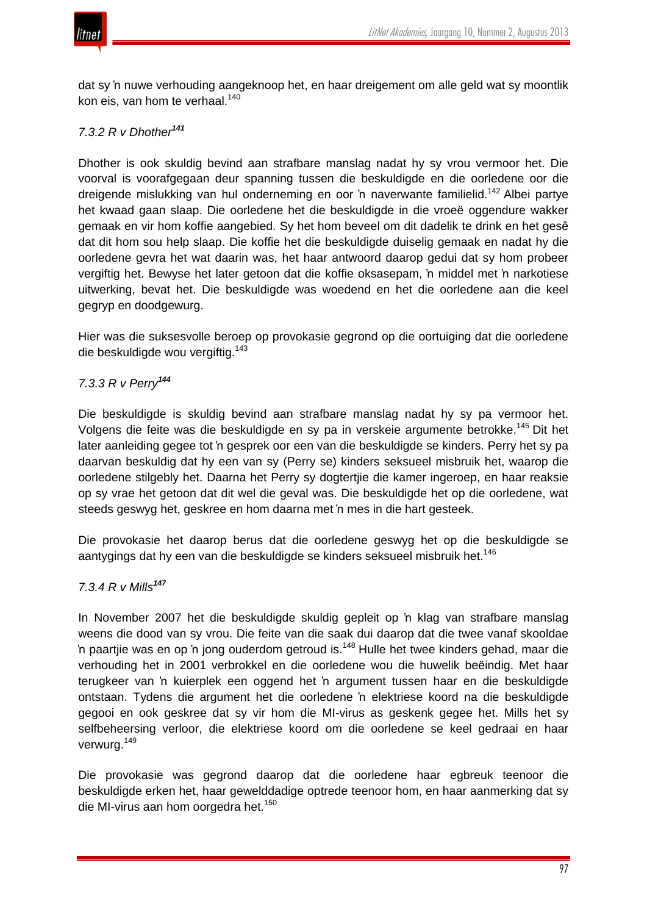

dat sy 'n nuwe verhouding aangeknoop het, en haar dreigement om alle geld wat sy moontlik kon eis, van hom te verhaal.<sup>140</sup>

## *7.3.2 R v Dhother<sup>141</sup>*

Dhother is ook skuldig bevind aan strafbare manslag nadat hy sy vrou vermoor het. Die voorval is voorafgegaan deur spanning tussen die beskuldigde en die oorledene oor die dreigende mislukking van hul onderneming en oor 'n naverwante familielid.<sup>142</sup> Albei partye het kwaad gaan slaap. Die oorledene het die beskuldigde in die vroeë oggendure wakker gemaak en vir hom koffie aangebied. Sy het hom beveel om dit dadelik te drink en het gesê dat dit hom sou help slaap. Die koffie het die beskuldigde duiselig gemaak en nadat hy die oorledene gevra het wat daarin was, het haar antwoord daarop gedui dat sy hom probeer vergiftig het. Bewyse het later getoon dat die koffie oksasepam, 'n middel met 'n narkotiese uitwerking, bevat het. Die beskuldigde was woedend en het die oorledene aan die keel gegryp en doodgewurg.

Hier was die suksesvolle beroep op provokasie gegrond op die oortuiging dat die oorledene die beskuldigde wou vergiftig.<sup>143</sup>

## *7.3.3 R v Perry<sup>144</sup>*

Die beskuldigde is skuldig bevind aan strafbare manslag nadat hy sy pa vermoor het. Volgens die feite was die beskuldigde en sy pa in verskeie argumente betrokke.<sup>145</sup> Dit het later aanleiding gegee tot 'n gesprek oor een van die beskuldigde se kinders. Perry het sy pa daarvan beskuldig dat hy een van sy (Perry se) kinders seksueel misbruik het, waarop die oorledene stilgebly het. Daarna het Perry sy dogtertjie die kamer ingeroep, en haar reaksie op sy vrae het getoon dat dit wel die geval was. Die beskuldigde het op die oorledene, wat steeds geswyg het, geskree en hom daarna met 'n mes in die hart gesteek.

Die provokasie het daarop berus dat die oorledene geswyg het op die beskuldigde se aantygings dat hy een van die beskuldigde se kinders seksueel misbruik het.<sup>146</sup>

## *7.3.4 R v Mills<sup>147</sup>*

In November 2007 het die beskuldigde skuldig gepleit op 'n klag van strafbare manslag weens die dood van sy vrou. Die feite van die saak dui daarop dat die twee vanaf skooldae 'n paartije was en op 'n jong ouderdom getroud is.<sup>148</sup> Hulle het twee kinders gehad, maar die verhouding het in 2001 verbrokkel en die oorledene wou die huwelik beëindig. Met haar terugkeer van 'n kuierplek een oggend het 'n argument tussen haar en die beskuldigde ontstaan. Tydens die argument het die oorledene 'n elektriese koord na die beskuldigde gegooi en ook geskree dat sy vir hom die MI-virus as geskenk gegee het. Mills het sy selfbeheersing verloor, die elektriese koord om die oorledene se keel gedraai en haar verwurg.<sup>149</sup>

Die provokasie was gegrond daarop dat die oorledene haar egbreuk teenoor die beskuldigde erken het, haar gewelddadige optrede teenoor hom, en haar aanmerking dat sy die MI-virus aan hom oorgedra het.<sup>150</sup>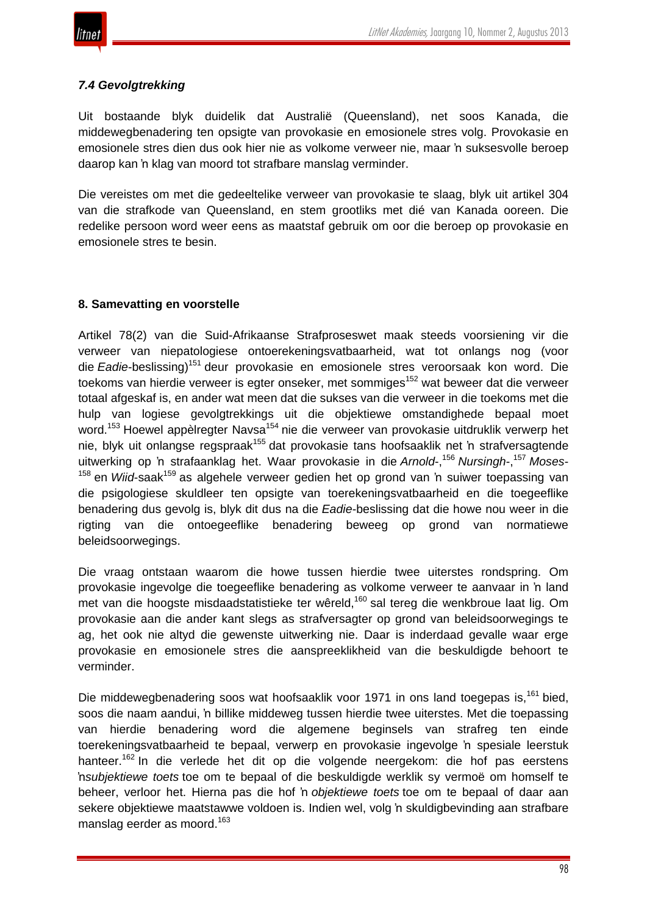

# *7.4 Gevolgtrekking*

Uit bostaande blyk duidelik dat Australië (Queensland), net soos Kanada, die middewegbenadering ten opsigte van provokasie en emosionele stres volg. Provokasie en emosionele stres dien dus ook hier nie as volkome verweer nie, maar 'n suksesvolle beroep daarop kan 'n klag van moord tot strafbare manslag verminder.

Die vereistes om met die gedeeltelike verweer van provokasie te slaag, blyk uit artikel 304 van die strafkode van Queensland, en stem grootliks met dié van Kanada ooreen. Die redelike persoon word weer eens as maatstaf gebruik om oor die beroep op provokasie en emosionele stres te besin.

## **8. Samevatting en voorstelle**

Artikel 78(2) van die Suid-Afrikaanse Strafproseswet maak steeds voorsiening vir die verweer van niepatologiese ontoerekeningsvatbaarheid, wat tot onlangs nog (voor die *Eadie*-beslissing)<sup>151</sup> deur provokasie en emosionele stres veroorsaak kon word. Die toekoms van hierdie verweer is egter onseker, met sommiges<sup>152</sup> wat beweer dat die verweer totaal afgeskaf is, en ander wat meen dat die sukses van die verweer in die toekoms met die hulp van logiese gevolgtrekkings uit die objektiewe omstandighede bepaal moet word.<sup>153</sup> Hoewel appèlregter Navsa<sup>154</sup> nie die verweer van provokasie uitdruklik verwerp het nie, blyk uit onlangse regspraak<sup>155</sup> dat provokasie tans hoofsaaklik net 'n strafversagtende uitwerking op 'n strafaanklag het. Waar provokasie in die *Arnold*-, <sup>156</sup> *Nursingh*-, <sup>157</sup> *Moses*- <sup>158</sup> en *Wiid*-saak<sup>159</sup> as algehele verweer gedien het op grond van 'n suiwer toepassing van die psigologiese skuldleer ten opsigte van toerekeningsvatbaarheid en die toegeeflike benadering dus gevolg is, blyk dit dus na die *Eadie*-beslissing dat die howe nou weer in die rigting van die ontoegeeflike benadering beweeg op grond van normatiewe beleidsoorwegings.

Die vraag ontstaan waarom die howe tussen hierdie twee uiterstes rondspring. Om provokasie ingevolge die toegeeflike benadering as volkome verweer te aanvaar in 'n land met van die hoogste misdaadstatistieke ter wêreld,<sup>160</sup> sal tereg die wenkbroue laat lig. Om provokasie aan die ander kant slegs as strafversagter op grond van beleidsoorwegings te ag, het ook nie altyd die gewenste uitwerking nie. Daar is inderdaad gevalle waar erge provokasie en emosionele stres die aanspreeklikheid van die beskuldigde behoort te verminder.

Die middewegbenadering soos wat hoofsaaklik voor 1971 in ons land toegepas is,<sup>161</sup> bied, soos die naam aandui, 'n billike middeweg tussen hierdie twee uiterstes. Met die toepassing van hierdie benadering word die algemene beginsels van strafreg ten einde toerekeningsvatbaarheid te bepaal, verwerp en provokasie ingevolge 'n spesiale leerstuk hanteer.<sup>162</sup> In die verlede het dit op die volgende neergekom: die hof pas eerstens 'n*subjektiewe toets* toe om te bepaal of die beskuldigde werklik sy vermoë om homself te beheer, verloor het. Hierna pas die hof 'n *objektiewe toets* toe om te bepaal of daar aan sekere objektiewe maatstawwe voldoen is. Indien wel, volg 'n skuldigbevinding aan strafbare manslag eerder as moord.<sup>163</sup>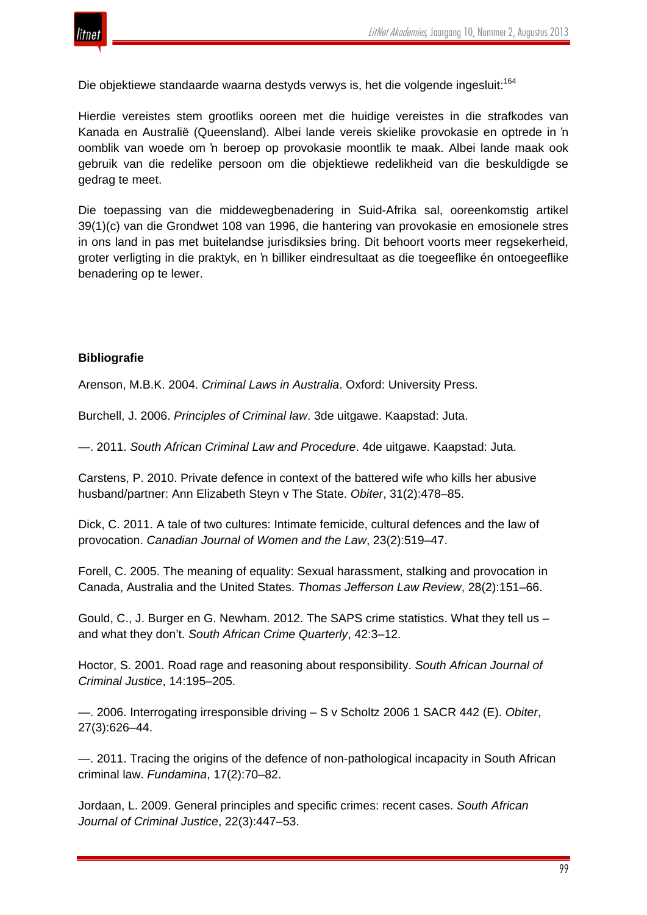

Die objektiewe standaarde waarna destyds verwys is, het die volgende ingesluit:<sup>164</sup>

Hierdie vereistes stem grootliks ooreen met die huidige vereistes in die strafkodes van Kanada en Australië (Queensland). Albei lande vereis skielike provokasie en optrede in 'n oomblik van woede om 'n beroep op provokasie moontlik te maak. Albei lande maak ook gebruik van die redelike persoon om die objektiewe redelikheid van die beskuldigde se gedrag te meet.

Die toepassing van die middewegbenadering in Suid-Afrika sal, ooreenkomstig artikel 39(1)(c) van die Grondwet 108 van 1996, die hantering van provokasie en emosionele stres in ons land in pas met buitelandse jurisdiksies bring. Dit behoort voorts meer regsekerheid, groter verligting in die praktyk, en 'n billiker eindresultaat as die toegeeflike én ontoegeeflike benadering op te lewer.

#### **Bibliografie**

Arenson, M.B.K. 2004. *Criminal Laws in Australia*. Oxford: University Press.

Burchell, J. 2006. *Principles of Criminal law*. 3de uitgawe. Kaapstad: Juta.

—. 2011. *South African Criminal Law and Procedure*. 4de uitgawe. Kaapstad: Juta.

Carstens, P. 2010. Private defence in context of the battered wife who kills her abusive husband/partner: Ann Elizabeth Steyn v The State. *Obiter*, 31(2):478–85.

Dick, C. 2011. A tale of two cultures: Intimate femicide, cultural defences and the law of provocation. *Canadian Journal of Women and the Law*, 23(2):519–47.

Forell, C. 2005. The meaning of equality: Sexual harassment, stalking and provocation in Canada, Australia and the United States. *Thomas Jefferson Law Review*, 28(2):151–66.

Gould, C., J. Burger en G. Newham. 2012. The SAPS crime statistics. What they tell us – and what they don't. *South African Crime Quarterly*, 42:3–12.

Hoctor, S. 2001. Road rage and reasoning about responsibility. *South African Journal of Criminal Justice*, 14:195–205.

—. 2006. Interrogating irresponsible driving – S v Scholtz 2006 1 SACR 442 (E). *Obiter*, 27(3):626–44.

—. 2011. Tracing the origins of the defence of non-pathological incapacity in South African criminal law. *Fundamina*, 17(2):70–82.

Jordaan, L. 2009. General principles and specific crimes: recent cases. *South African Journal of Criminal Justice*, 22(3):447–53.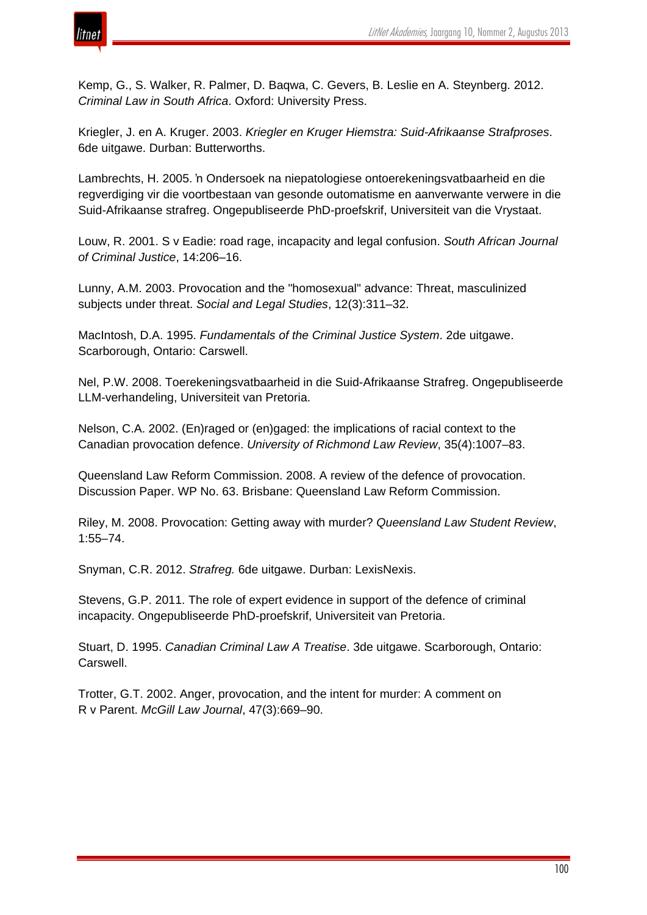

Kemp, G., S. Walker, R. Palmer, D. Baqwa, C. Gevers, B. Leslie en A. Steynberg. 2012. *Criminal Law in South Africa*. Oxford: University Press.

Kriegler, J. en A. Kruger. 2003. *Kriegler en Kruger Hiemstra: Suid-Afrikaanse Strafproses*. 6de uitgawe. Durban: Butterworths.

Lambrechts, H. 2005. 'n Ondersoek na niepatologiese ontoerekeningsvatbaarheid en die regverdiging vir die voortbestaan van gesonde outomatisme en aanverwante verwere in die Suid-Afrikaanse strafreg. Ongepubliseerde PhD-proefskrif, Universiteit van die Vrystaat.

Louw, R. 2001. S v Eadie: road rage, incapacity and legal confusion. *South African Journal of Criminal Justice*, 14:206–16.

Lunny, A.M. 2003. Provocation and the "homosexual" advance: Threat, masculinized subjects under threat. *Social and Legal Studies*, 12(3):311–32.

MacIntosh, D.A. 1995. *Fundamentals of the Criminal Justice System*. 2de uitgawe. Scarborough, Ontario: Carswell.

Nel, P.W. 2008. Toerekeningsvatbaarheid in die Suid-Afrikaanse Strafreg. Ongepubliseerde LLM-verhandeling, Universiteit van Pretoria.

Nelson, C.A. 2002. (En)raged or (en)gaged: the implications of racial context to the Canadian provocation defence. *University of Richmond Law Review*, 35(4):1007–83.

Queensland Law Reform Commission. 2008. A review of the defence of provocation. Discussion Paper. WP No. 63. Brisbane: Queensland Law Reform Commission.

Riley, M. 2008. Provocation: Getting away with murder? *Queensland Law Student Review*, 1:55–74.

Snyman, C.R. 2012. *Strafreg.* 6de uitgawe. Durban: LexisNexis.

Stevens, G.P. 2011. The role of expert evidence in support of the defence of criminal incapacity. Ongepubliseerde PhD-proefskrif, Universiteit van Pretoria.

Stuart, D. 1995. *Canadian Criminal Law A Treatise*. 3de uitgawe. Scarborough, Ontario: Carswell.

Trotter, G.T. 2002. Anger, provocation, and the intent for murder: A comment on R v Parent. *McGill Law Journal*, 47(3):669–90.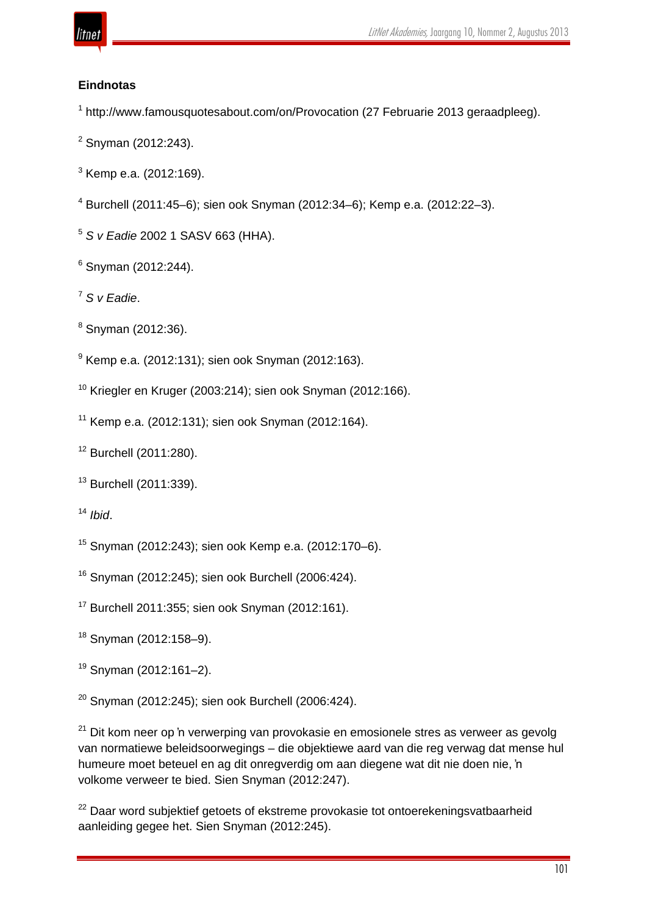

# **Eindnotas**

http://www.famousquotesabout.com/on/Provocation (27 Februarie 2013 geraadpleeg).

- Snyman (2012:243).
- Kemp e.a. (2012:169).
- Burchell (2011:45–6); sien ook Snyman (2012:34–6); Kemp e.a. (2012:22–3).
- *S v Eadie* 2002 1 SASV 663 (HHA).
- Snyman (2012:244).
- *S v Eadie*.
- Snyman (2012:36).
- Kemp e.a. (2012:131); sien ook Snyman (2012:163).
- Kriegler en Kruger (2003:214); sien ook Snyman (2012:166).
- Kemp e.a. (2012:131); sien ook Snyman (2012:164).
- Burchell (2011:280).
- Burchell (2011:339).
- *Ibid*.
- Snyman (2012:243); sien ook Kemp e.a. (2012:170–6).
- Snyman (2012:245); sien ook Burchell (2006:424).
- Burchell 2011:355; sien ook Snyman (2012:161).
- Snyman (2012:158–9).
- Snyman (2012:161–2).
- Snyman (2012:245); sien ook Burchell (2006:424).

 Dit kom neer op 'n verwerping van provokasie en emosionele stres as verweer as gevolg van normatiewe beleidsoorwegings – die objektiewe aard van die reg verwag dat mense hul humeure moet beteuel en ag dit onregverdig om aan diegene wat dit nie doen nie, 'n volkome verweer te bied. Sien Snyman (2012:247).

<sup>22</sup> Daar word subjektief getoets of ekstreme provokasie tot ontoerekeningsvatbaarheid aanleiding gegee het. Sien Snyman (2012:245).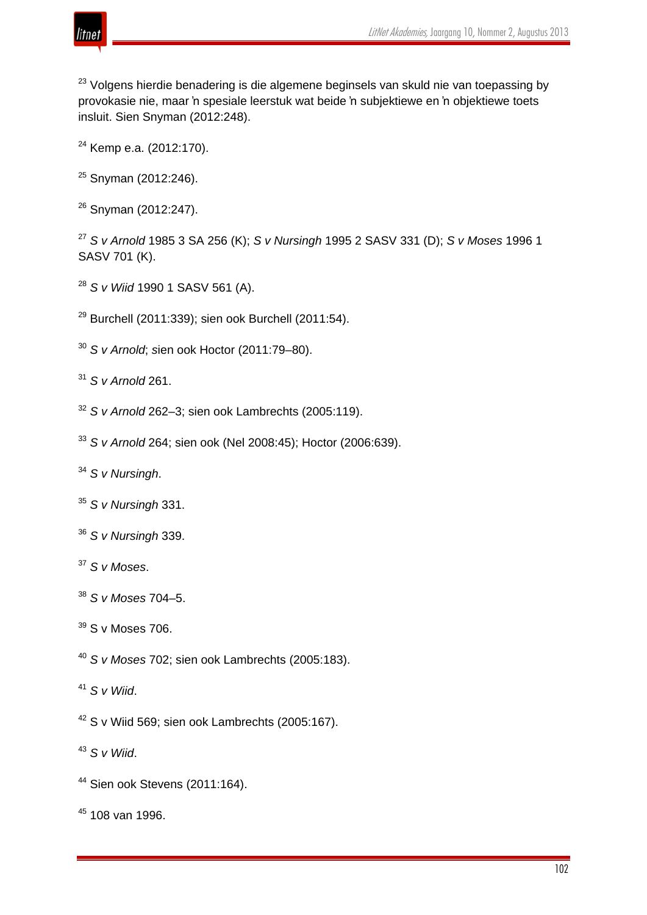

<sup>23</sup> Volgens hierdie benadering is die algemene beginsels van skuld nie van toepassing by provokasie nie, maar 'n spesiale leerstuk wat beide 'n subjektiewe en 'n objektiewe toets insluit. Sien Snyman (2012:248).

- <sup>24</sup> Kemp e.a. (2012:170).
- Snyman (2012:246).
- Snyman (2012:247).

 *S v Arnold* 1985 3 SA 256 (K); *S v Nursingh* 1995 2 SASV 331 (D); *S v Moses* 1996 1 SASV 701 (K).

- *S v Wiid* 1990 1 SASV 561 (A).
- Burchell (2011:339); sien ook Burchell (2011:54).
- *S v Arnold*; *s*ien ook Hoctor (2011:79–80).
- *S v Arnold* 261.
- *S v Arnold* 262–3; sien ook Lambrechts (2005:119).
- *S v Arnold* 264; sien ook (Nel 2008:45); Hoctor (2006:639).
- *S v Nursingh*.
- *S v Nursingh* 331.
- *S v Nursingh* 339.
- *S v Moses*.
- *S v Moses* 704–5.
- S v Moses 706.
- *S v Moses* 702; sien ook Lambrechts (2005:183).
- *S v Wiid*.
- S v Wiid 569; sien ook Lambrechts (2005:167).
- *S v Wiid*.
- Sien ook Stevens (2011:164).
- 108 van 1996.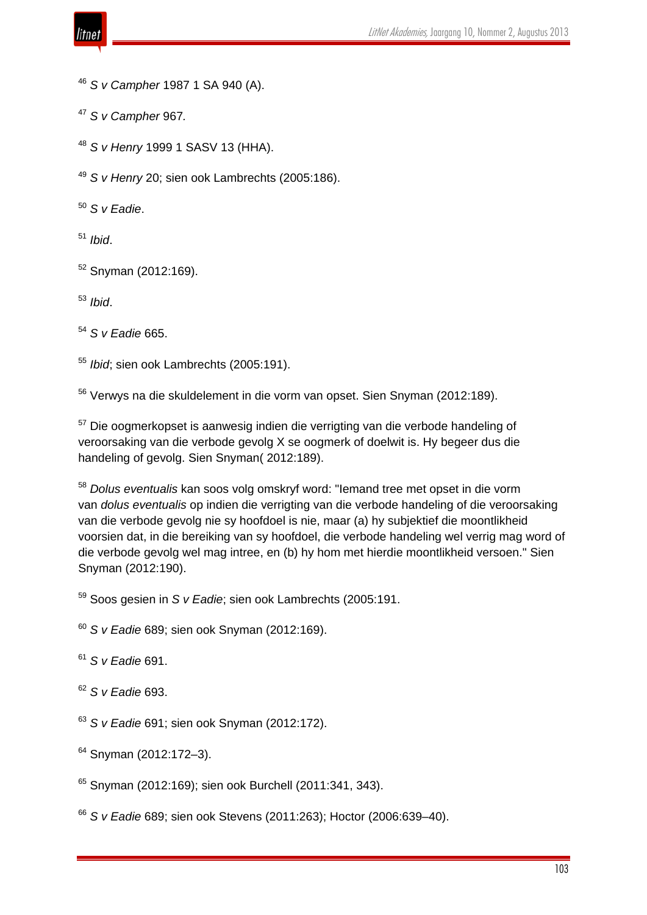

*S v Campher* 1987 1 SA 940 (A).

*S v Campher* 967*.*

*S v Henry* 1999 1 SASV 13 (HHA).

*S v Henry* 20; sien ook Lambrechts (2005:186).

*S v Eadie*.

*Ibid*.

Snyman (2012:169).

*Ibid*.

*S v Eadie* 665.

*Ibid*; sien ook Lambrechts (2005:191).

Verwys na die skuldelement in die vorm van opset. Sien Snyman (2012:189).

<sup>57</sup> Die oogmerkopset is aanwesig indien die verrigting van die verbode handeling of veroorsaking van die verbode gevolg X se oogmerk of doelwit is. Hy begeer dus die handeling of gevolg. Sien Snyman( 2012:189).

 *Dolus eventualis* kan soos volg omskryf word: "Iemand tree met opset in die vorm van *dolus eventualis* op indien die verrigting van die verbode handeling of die veroorsaking van die verbode gevolg nie sy hoofdoel is nie, maar (a) hy subjektief die moontlikheid voorsien dat, in die bereiking van sy hoofdoel, die verbode handeling wel verrig mag word of die verbode gevolg wel mag intree, en (b) hy hom met hierdie moontlikheid versoen." Sien Snyman (2012:190).

Soos gesien in *S v Eadie*; sien ook Lambrechts (2005:191.

*S v Eadie* 689; sien ook Snyman (2012:169).

*S v Eadie* 691.

*S v Eadie* 693.

*S v Eadie* 691; sien ook Snyman (2012:172).

Snyman (2012:172-3).

Snyman (2012:169); sien ook Burchell (2011:341, 343).

*S v Eadie* 689; sien ook Stevens (2011:263); Hoctor (2006:639–40).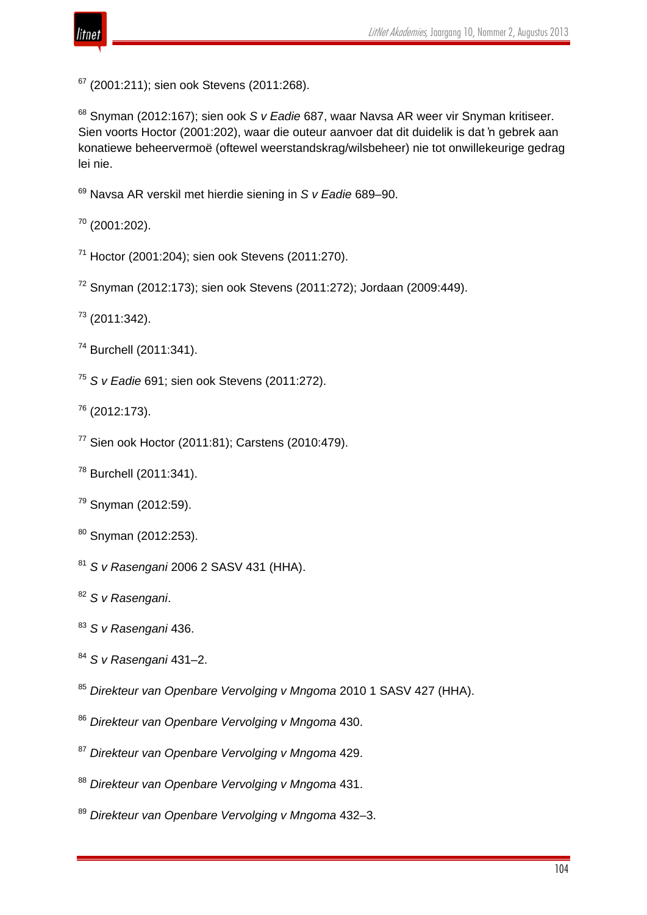

(2001:211); sien ook Stevens (2011:268).

 Snyman (2012:167); sien ook *S v Eadie* 687, waar Navsa AR weer vir Snyman kritiseer. Sien voorts Hoctor (2001:202), waar die outeur aanvoer dat dit duidelik is dat 'n gebrek aan konatiewe beheervermoë (oftewel weerstandskrag/wilsbeheer) nie tot onwillekeurige gedrag lei nie.

Navsa AR verskil met hierdie siening in *S v Eadie* 689–90.

(2001:202).

Hoctor (2001:204); sien ook Stevens (2011:270).

Snyman (2012:173); sien ook Stevens (2011:272); Jordaan (2009:449).

(2011:342).

- Burchell (2011:341).
- *S v Eadie* 691; sien ook Stevens (2011:272).

(2012:173).

- Sien ook Hoctor (2011:81); Carstens (2010:479).
- Burchell (2011:341).
- Snyman (2012:59).
- Snyman (2012:253).
- *S v Rasengani* 2006 2 SASV 431 (HHA).

*S v Rasengani*.

- *S v Rasengani* 436.
- *S v Rasengani* 431–2.
- *Direkteur van Openbare Vervolging v Mngoma* 2010 1 SASV 427 (HHA).
- *Direkteur van Openbare Vervolging v Mngoma* 430.
- *Direkteur van Openbare Vervolging v Mngoma* 429.
- *Direkteur van Openbare Vervolging v Mngoma* 431.
- *Direkteur van Openbare Vervolging v Mngoma* 432–3.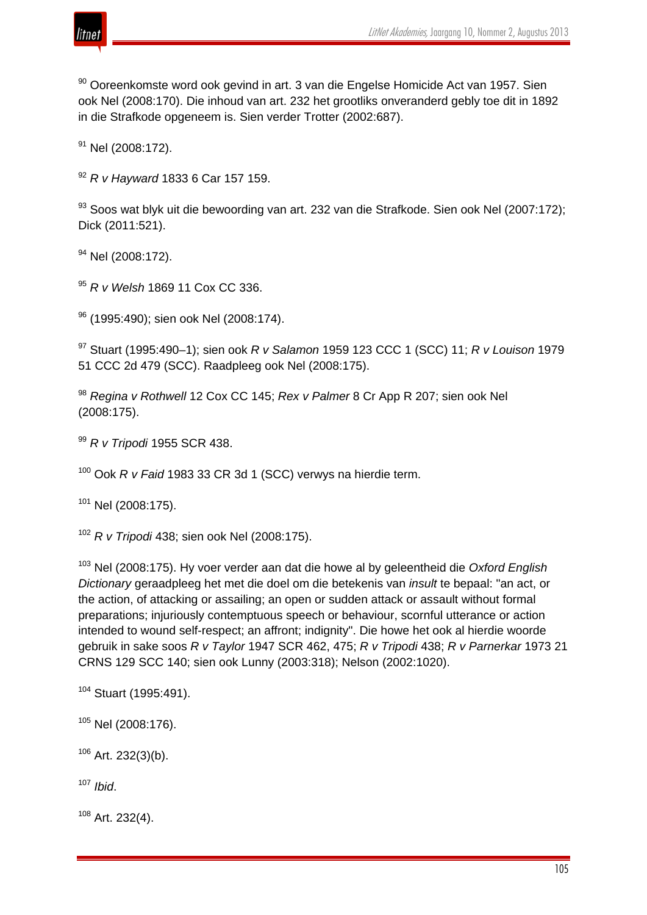

 $90$  Ooreenkomste word ook gevind in art. 3 van die Engelse Homicide Act van 1957. Sien ook Nel (2008:170). Die inhoud van art. 232 het grootliks onveranderd gebly toe dit in 1892 in die Strafkode opgeneem is. Sien verder Trotter (2002:687).

 $91$  Nel (2008:172).

<sup>92</sup> *R v Hayward* 1833 6 Car 157 159.

93 Soos wat blyk uit die bewoording van art. 232 van die Strafkode. Sien ook Nel (2007:172); Dick (2011:521).

<sup>94</sup> Nel (2008:172).

<sup>95</sup> *R v Welsh* 1869 11 Cox CC 336.

96 (1995:490); sien ook Nel (2008:174).

<sup>97</sup> Stuart (1995:490–1); sien ook *R v Salamon* 1959 123 CCC 1 (SCC) 11; *R v Louison* 1979 51 CCC 2d 479 (SCC). Raadpleeg ook Nel (2008:175).

<sup>98</sup> *Regina v Rothwell* 12 Cox CC 145; *Rex v Palmer* 8 Cr App R 207; sien ook Nel (2008:175).

<sup>99</sup> *R v Tripodi* 1955 SCR 438.

<sup>100</sup> Ook *R v Faid* 1983 33 CR 3d 1 (SCC) verwys na hierdie term.

<sup>101</sup> Nel (2008:175).

<sup>102</sup> *R v Tripodi* 438; sien ook Nel (2008:175).

<sup>103</sup> Nel (2008:175). Hy voer verder aan dat die howe al by geleentheid die *Oxford English Dictionary* geraadpleeg het met die doel om die betekenis van *insult* te bepaal: "an act, or the action, of attacking or assailing; an open or sudden attack or assault without formal preparations; injuriously contemptuous speech or behaviour, scornful utterance or action intended to wound self-respect; an affront; indignity". Die howe het ook al hierdie woorde gebruik in sake soos *R v Taylor* 1947 SCR 462, 475; *R v Tripodi* 438; *R v Parnerkar* 1973 21 CRNS 129 SCC 140; sien ook Lunny (2003:318); Nelson (2002:1020).

```
104 Stuart (1995:491).
```

```
105 Nel (2008:176).
```
 $106$  Art. 232(3)(b).

<sup>107</sup> *Ibid*.

 $108$  Art. 232(4).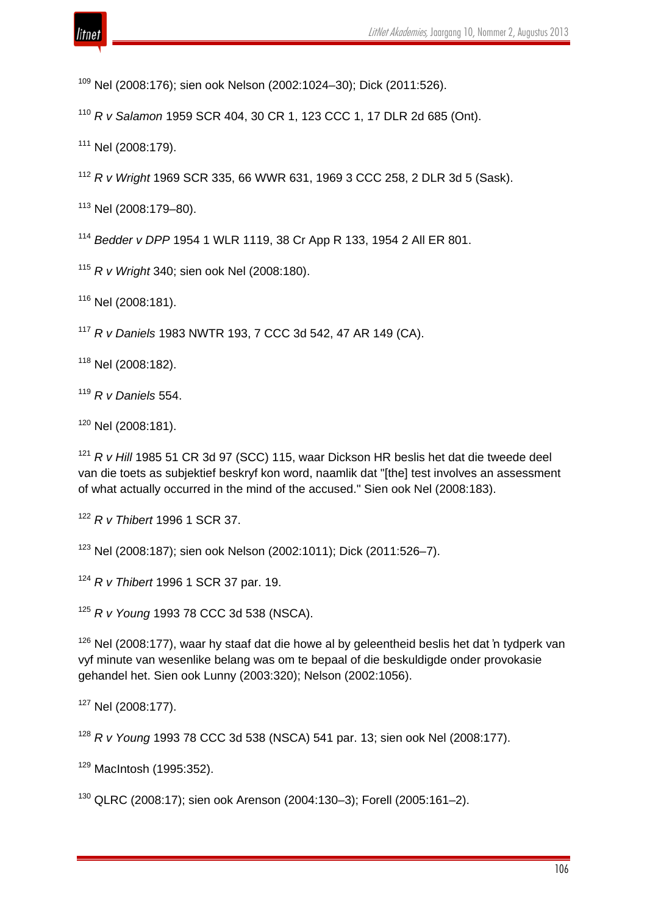

Nel (2008:176); sien ook Nelson (2002:1024–30); Dick (2011:526).

*R v Salamon* 1959 SCR 404, 30 CR 1, 123 CCC 1, 17 DLR 2d 685 (Ont).

Nel (2008:179).

*R v Wright* 1969 SCR 335, 66 WWR 631, 1969 3 CCC 258, 2 DLR 3d 5 (Sask).

Nel (2008:179–80).

*Bedder v DPP* 1954 1 WLR 1119, 38 Cr App R 133, 1954 2 All ER 801.

*R v Wright* 340; sien ook Nel (2008:180).

Nel (2008:181).

*R v Daniels* 1983 NWTR 193, 7 CCC 3d 542, 47 AR 149 (CA).

Nel (2008:182).

*R v Daniels* 554.

Nel (2008:181).

 *R v Hill* 1985 51 CR 3d 97 (SCC) 115, waar Dickson HR beslis het dat die tweede deel van die toets as subjektief beskryf kon word, naamlik dat "[the] test involves an assessment of what actually occurred in the mind of the accused." Sien ook Nel (2008:183).

*R v Thibert* 1996 1 SCR 37.

Nel (2008:187); sien ook Nelson (2002:1011); Dick (2011:526–7).

*R v Thibert* 1996 1 SCR 37 par. 19.

*R v Young* 1993 78 CCC 3d 538 (NSCA).

 Nel (2008:177), waar hy staaf dat die howe al by geleentheid beslis het dat 'n tydperk van vyf minute van wesenlike belang was om te bepaal of die beskuldigde onder provokasie gehandel het. Sien ook Lunny (2003:320); Nelson (2002:1056).

Nel (2008:177).

*R v Young* 1993 78 CCC 3d 538 (NSCA) 541 par. 13; sien ook Nel (2008:177).

MacIntosh (1995:352).

QLRC (2008:17); sien ook Arenson (2004:130–3); Forell (2005:161–2).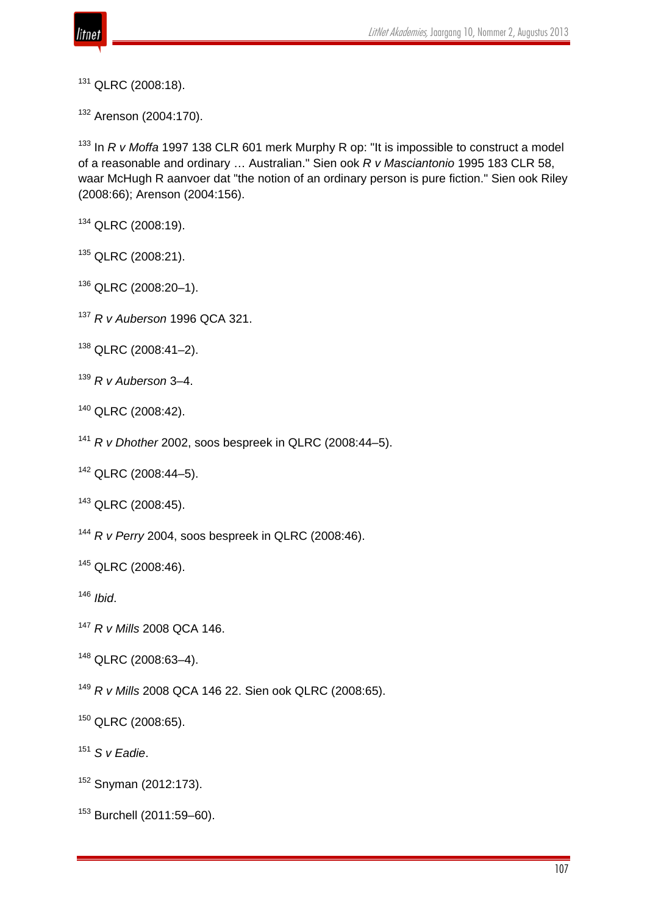

QLRC (2008:18).

Arenson (2004:170).

 In *R v Moffa* 1997 138 CLR 601 merk Murphy R op: "It is impossible to construct a model of a reasonable and ordinary … Australian." Sien ook *R v Masciantonio* 1995 183 CLR 58, waar McHugh R aanvoer dat "the notion of an ordinary person is pure fiction." Sien ook Riley (2008:66); Arenson (2004:156).

QLRC (2008:19).

<sup>135</sup> QLRC (2008:21).

QLRC (2008:20–1).

- *R v Auberson* 1996 QCA 321.
- QLRC (2008:41–2).
- *R v Auberson* 3–4.
- QLRC (2008:42).
- *R v Dhother* 2002, soos bespreek in QLRC (2008:44–5).

QLRC (2008:44–5).

QLRC (2008:45).

*R v Perry* 2004, soos bespreek in QLRC (2008:46).

QLRC (2008:46).

*Ibid*.

*R v Mills* 2008 QCA 146.

QLRC (2008:63–4).

*R v Mills* 2008 QCA 146 22. Sien ook QLRC (2008:65).

QLRC (2008:65).

*S v Eadie*.

Snyman (2012:173).

Burchell (2011:59–60).